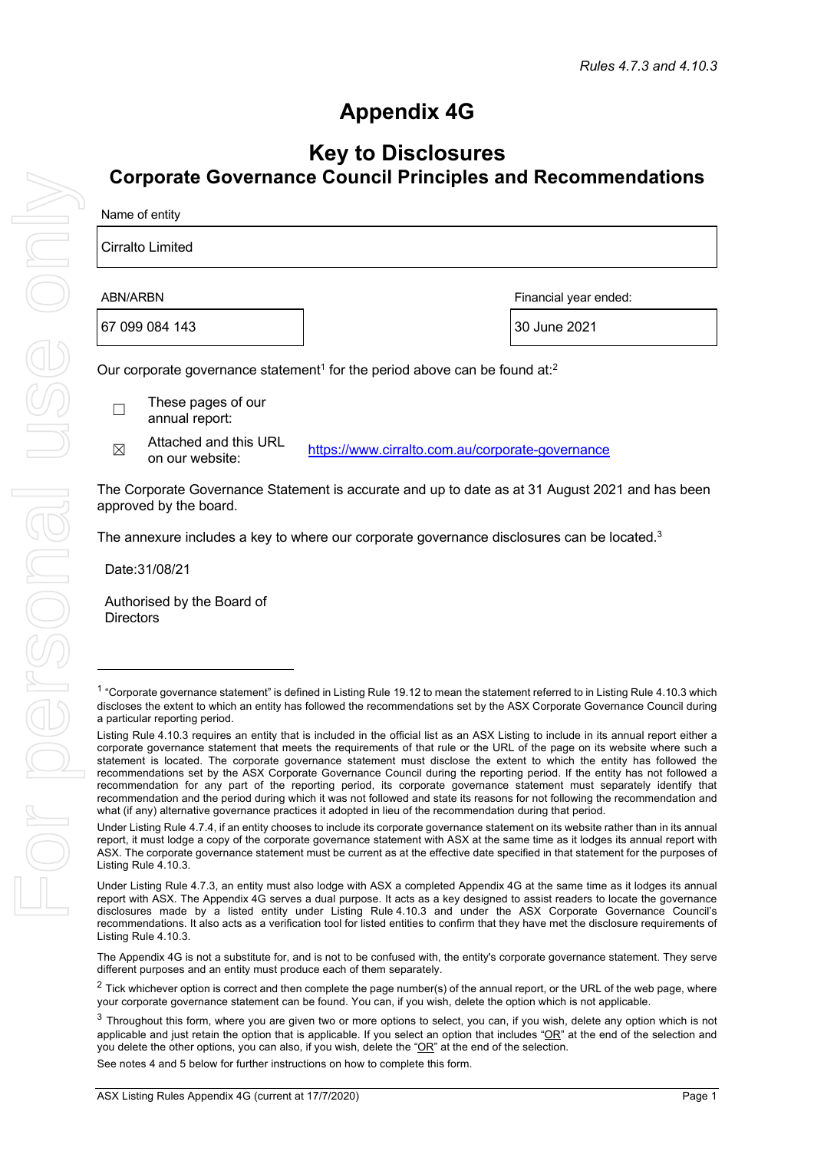# **Appendix 4G**

# **Key to Disclosures Corporate Governance Council Principles and Recommendations**

| Name of entity |                                                                                                                                            |              |  |  |  |
|----------------|--------------------------------------------------------------------------------------------------------------------------------------------|--------------|--|--|--|
|                | Cirralto Limited                                                                                                                           |              |  |  |  |
|                | ABN/ARBN<br>Financial year ended:                                                                                                          |              |  |  |  |
| 67 099 084 143 |                                                                                                                                            | 30 June 2021 |  |  |  |
|                | Our corporate governance statement <sup>1</sup> for the period above can be found at: <sup>2</sup><br>These pages of our<br>annual report: |              |  |  |  |
|                |                                                                                                                                            |              |  |  |  |

 $\boxtimes$  Attached and this URL<br>on our website: https://www.cirralto.com.au/corporate-governance

The Corporate Governance Statement is accurate and up to date as at 31 August 2021 and has been approved by the board.

The annexure includes a key to where our corporate governance disclosures can be located.<sup>3</sup>

Date:31/08/21

Authorised by the Board of **Directors** 

The Appendix 4G is not a substitute for, and is not to be confused with, the entity's corporate governance statement. They serve different purposes and an entity must produce each of them separately.

See notes 4 and 5 below for further instructions on how to complete this form.

<sup>&</sup>lt;sup>1</sup> "Corporate governance statement" is defined in Listing Rule 19.12 to mean the statement referred to in Listing Rule 4.10.3 which discloses the extent to which an entity has followed the recommendations set by the ASX Corporate Governance Council during a particular reporting period.

Listing Rule 4.10.3 requires an entity that is included in the official list as an ASX Listing to include in its annual report either a corporate governance statement that meets the requirements of that rule or the URL of the page on its website where such a statement is located. The corporate governance statement must disclose the extent to which the entity has followed the recommendations set by the ASX Corporate Governance Council during the reporting period. If the entity has not followed a recommendation for any part of the reporting period, its corporate governance statement must separately identify that recommendation and the period during which it was not followed and state its reasons for not following the recommendation and what (if any) alternative governance practices it adopted in lieu of the recommendation during that period.

Under Listing Rule 4.7.4, if an entity chooses to include its corporate governance statement on its website rather than in its annual report, it must lodge a copy of the corporate governance statement with ASX at the same time as it lodges its annual report with ASX. The corporate governance statement must be current as at the effective date specified in that statement for the purposes of Listing Rule 4.10.3.

Under Listing Rule 4.7.3, an entity must also lodge with ASX a completed Appendix 4G at the same time as it lodges its annual report with ASX. The Appendix 4G serves a dual purpose. It acts as a key designed to assist readers to locate the governance disclosures made by a listed entity under Listing Rule 4.10.3 and under the ASX Corporate Governance Council's recommendations. It also acts as a verification tool for listed entities to confirm that they have met the disclosure requirements of Listing Rule 4.10.3.

 $2$  Tick whichever option is correct and then complete the page number(s) of the annual report, or the URL of the web page, where your corporate governance statement can be found. You can, if you wish, delete the option which is not applicable.

<sup>&</sup>lt;sup>3</sup> Throughout this form, where you are given two or more options to select, you can, if you wish, delete any option which is not applicable and just retain the option that is applicable. If you select an option that includes " $OR$ " at the end of the selection and you delete the other options, you can also, if you wish, delete the "OR" at the end of the selection.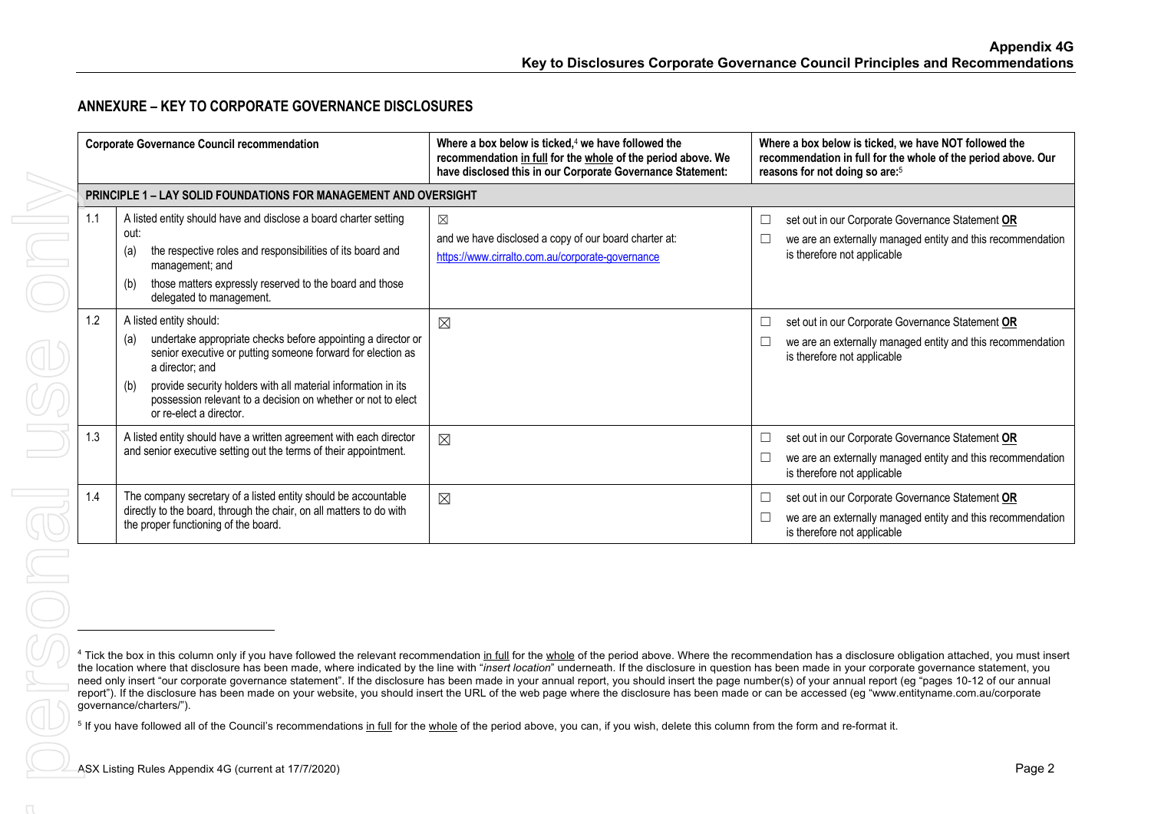# **ANNEXURE – KEY TO CORPORATE GOVERNANCE DISCLOSURES**

|     | <b>Corporate Governance Council recommendation</b>                                                                                                                                                                                                                                                                                                  | Where a box below is ticked, <sup>4</sup> we have followed the<br>recommendation in full for the whole of the period above. We<br>have disclosed this in our Corporate Governance Statement:                                                                                                                                                                                                                                                                                                                                                                                                                                                                                                                                                                                                                                                       | Where a box below is ticked, we have NOT followed the<br>recommendation in full for the whole of the period above. Our<br>reasons for not doing so are: <sup>5</sup> |
|-----|-----------------------------------------------------------------------------------------------------------------------------------------------------------------------------------------------------------------------------------------------------------------------------------------------------------------------------------------------------|----------------------------------------------------------------------------------------------------------------------------------------------------------------------------------------------------------------------------------------------------------------------------------------------------------------------------------------------------------------------------------------------------------------------------------------------------------------------------------------------------------------------------------------------------------------------------------------------------------------------------------------------------------------------------------------------------------------------------------------------------------------------------------------------------------------------------------------------------|----------------------------------------------------------------------------------------------------------------------------------------------------------------------|
|     | PRINCIPLE 1 - LAY SOLID FOUNDATIONS FOR MANAGEMENT AND OVERSIGHT                                                                                                                                                                                                                                                                                    |                                                                                                                                                                                                                                                                                                                                                                                                                                                                                                                                                                                                                                                                                                                                                                                                                                                    |                                                                                                                                                                      |
| 1.1 | A listed entity should have and disclose a board charter setting<br>out:<br>the respective roles and responsibilities of its board and<br>(a)<br>management; and<br>those matters expressly reserved to the board and those<br>(b)<br>delegated to management.                                                                                      | $\boxtimes$<br>and we have disclosed a copy of our board charter at:<br>https://www.cirralto.com.au/corporate-governance                                                                                                                                                                                                                                                                                                                                                                                                                                                                                                                                                                                                                                                                                                                           | set out in our Corporate Governance Statement OR<br>□<br>we are an externally managed entity and this recommendation<br>is therefore not applicable                  |
| 1.2 | A listed entity should:<br>undertake appropriate checks before appointing a director or<br>(a)<br>senior executive or putting someone forward for election as<br>a director; and<br>provide security holders with all material information in its<br>(b)<br>possession relevant to a decision on whether or not to elect<br>or re-elect a director. | $\boxtimes$                                                                                                                                                                                                                                                                                                                                                                                                                                                                                                                                                                                                                                                                                                                                                                                                                                        | set out in our Corporate Governance Statement OR<br>$\Box$<br>we are an externally managed entity and this recommendation<br>$\Box$<br>is therefore not applicable   |
|     | A listed entity should have a written agreement with each director<br>and senior executive setting out the terms of their appointment.                                                                                                                                                                                                              | $\boxtimes$                                                                                                                                                                                                                                                                                                                                                                                                                                                                                                                                                                                                                                                                                                                                                                                                                                        | set out in our Corporate Governance Statement OR<br>$\Box$<br>we are an externally managed entity and this recommendation<br>□<br>is therefore not applicable        |
| 1.4 | The company secretary of a listed entity should be accountable<br>directly to the board, through the chair, on all matters to do with<br>the proper functioning of the board.                                                                                                                                                                       | $\boxtimes$                                                                                                                                                                                                                                                                                                                                                                                                                                                                                                                                                                                                                                                                                                                                                                                                                                        | set out in our Corporate Governance Statement OR<br>□<br>we are an externally managed entity and this recommendation<br>$\Box$<br>is therefore not applicable        |
|     | governance/charters/").                                                                                                                                                                                                                                                                                                                             | <sup>4</sup> Tick the box in this column only if you have followed the relevant recommendation in full for the whole of the period above. Where the recommendation has a disclosure obligation attached, you must insert<br>the location where that disclosure has been made, where indicated by the line with "insert location" underneath. If the disclosure in question has been made in your corporate governance statement, you<br>need only insert "our corporate governance statement". If the disclosure has been made in your annual report, you should insert the page number(s) of your annual report (eg "pages 10-12 of our annual<br>report"). If the disclosure has been made on your website, you should insert the URL of the web page where the disclosure has been made or can be accessed (eg "www.entityname.com.au/corporate |                                                                                                                                                                      |
|     | ASX Listing Rules Appendix 4G (current at 17/7/2020)                                                                                                                                                                                                                                                                                                | <sup>5</sup> If you have followed all of the Council's recommendations in full for the whole of the period above, you can, if you wish, delete this column from the form and re-format it.                                                                                                                                                                                                                                                                                                                                                                                                                                                                                                                                                                                                                                                         | Page 2                                                                                                                                                               |
|     |                                                                                                                                                                                                                                                                                                                                                     |                                                                                                                                                                                                                                                                                                                                                                                                                                                                                                                                                                                                                                                                                                                                                                                                                                                    |                                                                                                                                                                      |
|     |                                                                                                                                                                                                                                                                                                                                                     |                                                                                                                                                                                                                                                                                                                                                                                                                                                                                                                                                                                                                                                                                                                                                                                                                                                    |                                                                                                                                                                      |

<sup>&</sup>lt;sup>4</sup> Tick the box in this column only if you have followed the relevant recommendation in full for the whole of the period above. Where the recommendation has a disclosure obligation attached, you must insert the location where that disclosure has been made, where indicated by the line with "*insert location*" underneath. If the disclosure in question has been made in your corporate governance statement, you need only insert "our corporate governance statement". If the disclosure has been made in your annual report, you should insert the page number(s) of your annual report (eg "pages 10-12 of our annual report"). If the disclosure has been made on your website, you should insert the URL of the web page where the disclosure has been made or can be accessed (eg "www.entityname.com.au/corporate governance/charters/").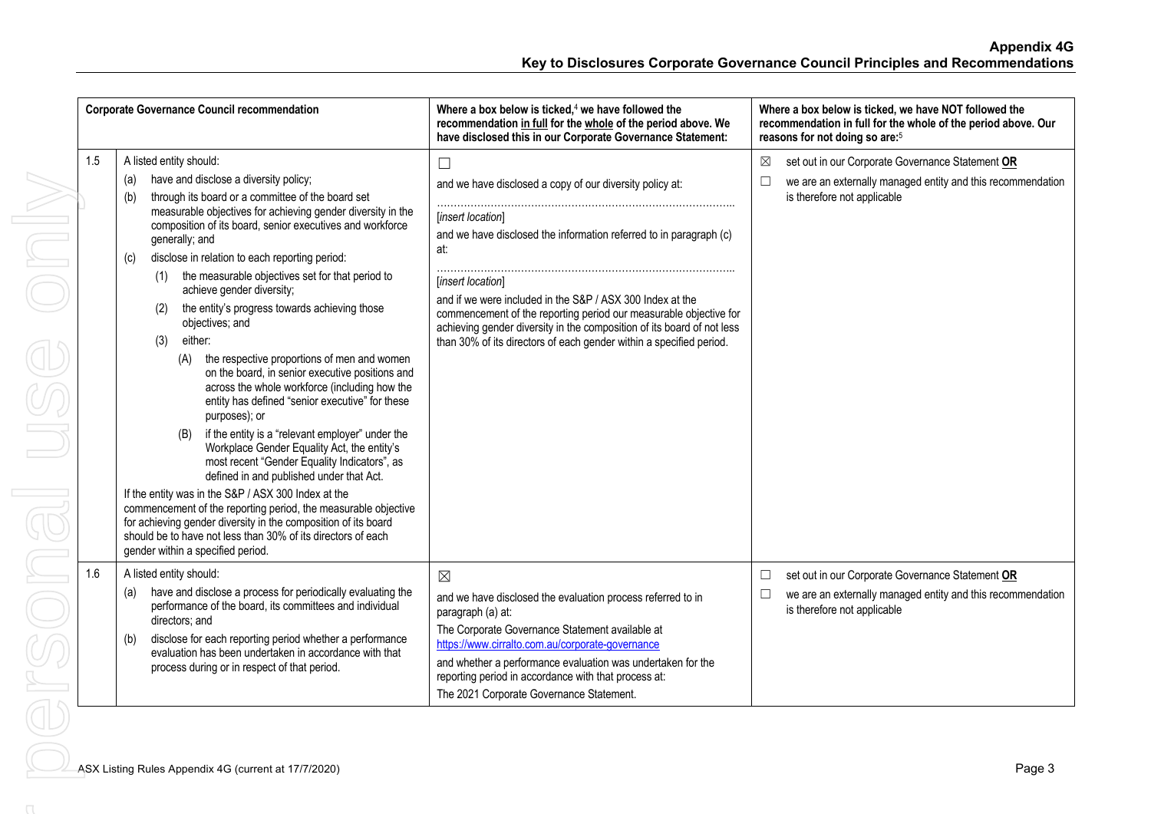|     | <b>Corporate Governance Council recommendation</b>                                                                                                                                                                                                                                                                                                                                                                                                                                                                                                                                                                                                                                                                                                                                                                                                                                                                                                                                                                                                                                                                                                                                                                                                                  | Where a box below is ticked, <sup>4</sup> we have followed the<br>recommendation in full for the whole of the period above. We<br>have disclosed this in our Corporate Governance Statement:                                                                                                                                                                                                                                                                                 | Where a box below is ticked, we have NOT followed the<br>recommendation in full for the whole of the period above. Our<br>reasons for not doing so are: <sup>5</sup> |
|-----|---------------------------------------------------------------------------------------------------------------------------------------------------------------------------------------------------------------------------------------------------------------------------------------------------------------------------------------------------------------------------------------------------------------------------------------------------------------------------------------------------------------------------------------------------------------------------------------------------------------------------------------------------------------------------------------------------------------------------------------------------------------------------------------------------------------------------------------------------------------------------------------------------------------------------------------------------------------------------------------------------------------------------------------------------------------------------------------------------------------------------------------------------------------------------------------------------------------------------------------------------------------------|------------------------------------------------------------------------------------------------------------------------------------------------------------------------------------------------------------------------------------------------------------------------------------------------------------------------------------------------------------------------------------------------------------------------------------------------------------------------------|----------------------------------------------------------------------------------------------------------------------------------------------------------------------|
| 1.5 | A listed entity should:<br>have and disclose a diversity policy;<br>(a)<br>through its board or a committee of the board set<br>(b)<br>measurable objectives for achieving gender diversity in the<br>composition of its board, senior executives and workforce<br>generally; and<br>disclose in relation to each reporting period:<br>(c)<br>the measurable objectives set for that period to<br>(1)<br>achieve gender diversity;<br>the entity's progress towards achieving those<br>(2)<br>objectives; and<br>either:<br>(3)<br>the respective proportions of men and women<br>(A)<br>on the board, in senior executive positions and<br>across the whole workforce (including how the<br>entity has defined "senior executive" for these<br>purposes); or<br>if the entity is a "relevant employer" under the<br>(B)<br>Workplace Gender Equality Act, the entity's<br>most recent "Gender Equality Indicators", as<br>defined in and published under that Act.<br>If the entity was in the S&P / ASX 300 Index at the<br>commencement of the reporting period, the measurable objective<br>for achieving gender diversity in the composition of its board<br>should be to have not less than 30% of its directors of each<br>gender within a specified period. | $\Box$<br>and we have disclosed a copy of our diversity policy at:<br>[insert location]<br>and we have disclosed the information referred to in paragraph (c)<br>at:<br>[insert location]<br>and if we were included in the S&P / ASX 300 Index at the<br>commencement of the reporting period our measurable objective for<br>achieving gender diversity in the composition of its board of not less<br>than 30% of its directors of each gender within a specified period. | set out in our Corporate Governance Statement OR<br>⊠<br>we are an externally managed entity and this recommendation<br>$\Box$<br>is therefore not applicable        |
| 1.6 | A listed entity should:<br>have and disclose a process for periodically evaluating the<br>(a)<br>performance of the board, its committees and individual<br>directors; and<br>disclose for each reporting period whether a performance<br>(b)<br>evaluation has been undertaken in accordance with that<br>process during or in respect of that period.                                                                                                                                                                                                                                                                                                                                                                                                                                                                                                                                                                                                                                                                                                                                                                                                                                                                                                             | $\boxtimes$<br>and we have disclosed the evaluation process referred to in<br>paragraph (a) at:<br>The Corporate Governance Statement available at<br>https://www.cirralto.com.au/corporate-governance<br>and whether a performance evaluation was undertaken for the<br>reporting period in accordance with that process at:<br>The 2021 Corporate Governance Statement.                                                                                                    | set out in our Corporate Governance Statement OR<br>$\Box$<br>we are an externally managed entity and this recommendation<br>$\Box$<br>is therefore not applicable   |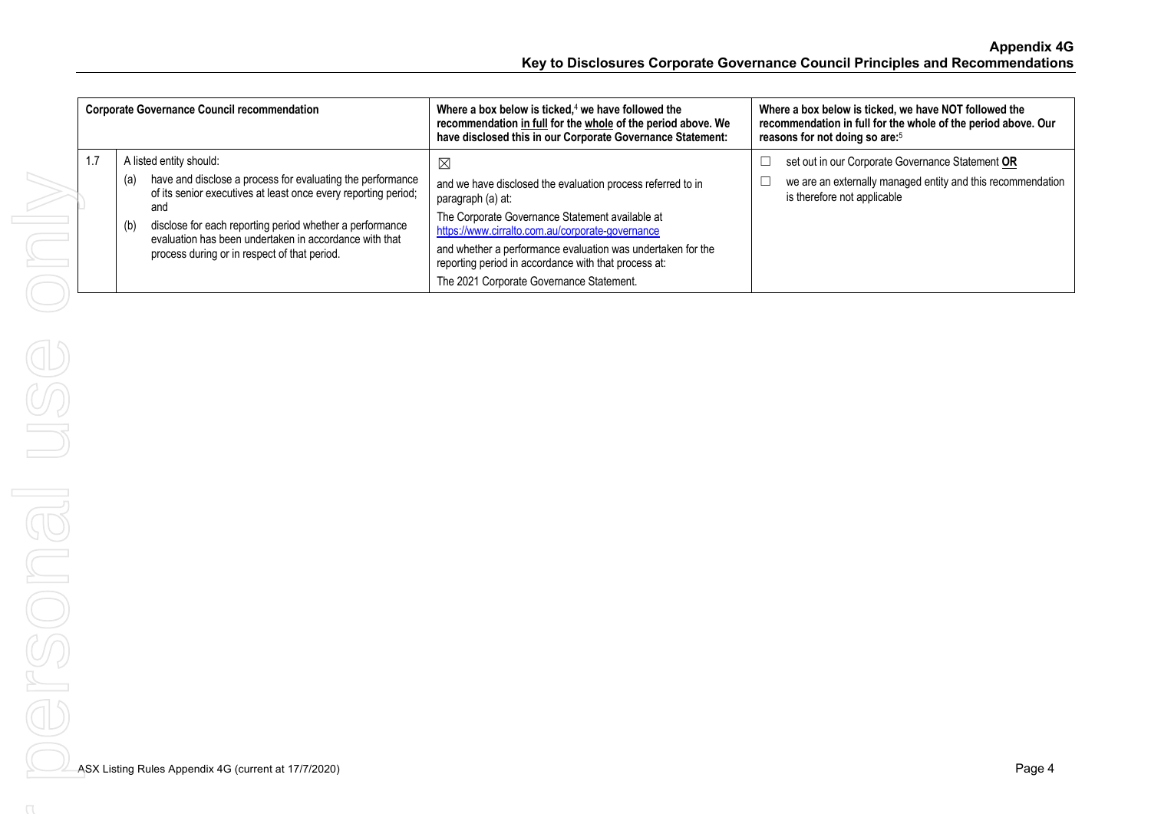| <b>Corporate Governance Council recommendation</b> |                                                                                                                                                                                                                                                                                                                                                    | Where a box below is ticked, $4$ we have followed the<br>recommendation in full for the whole of the period above. We<br>have disclosed this in our Corporate Governance Statement:                                                                                                                                                                                       | Where a box below is ticked, we have NOT followed the<br>recommendation in full for the whole of the period above. Our<br>reasons for not doing so are: <sup>5</sup> |
|----------------------------------------------------|----------------------------------------------------------------------------------------------------------------------------------------------------------------------------------------------------------------------------------------------------------------------------------------------------------------------------------------------------|---------------------------------------------------------------------------------------------------------------------------------------------------------------------------------------------------------------------------------------------------------------------------------------------------------------------------------------------------------------------------|----------------------------------------------------------------------------------------------------------------------------------------------------------------------|
| 1.7                                                | A listed entity should:<br>have and disclose a process for evaluating the performance<br>(a)<br>of its senior executives at least once every reporting period;<br>and<br>disclose for each reporting period whether a performance<br>(b)<br>evaluation has been undertaken in accordance with that<br>process during or in respect of that period. | $\boxtimes$<br>and we have disclosed the evaluation process referred to in<br>paragraph (a) at:<br>The Corporate Governance Statement available at<br>https://www.cirralto.com.au/corporate-governance<br>and whether a performance evaluation was undertaken for the<br>reporting period in accordance with that process at:<br>The 2021 Corporate Governance Statement. | set out in our Corporate Governance Statement OR<br>we are an externally managed entity and this recommendation<br>is therefore not applicable                       |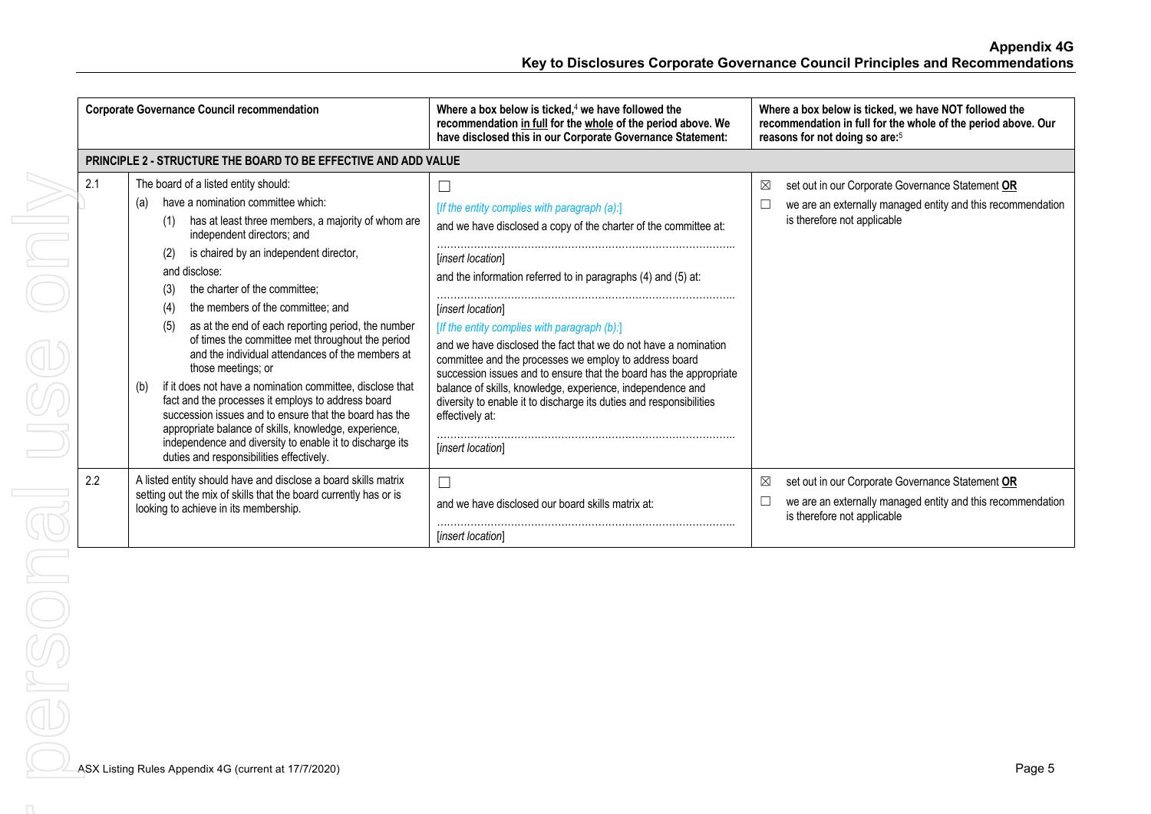| <b>Corporate Governance Council recommendation</b>                                                                                                                                                                                                                                                                                                                                                                                                                                                                                                                                                                                                                                                                                                                                                                                                                                        | Where a box below is ticked, $4$ we have followed the<br>recommendation in full for the whole of the period above. We<br>have disclosed this in our Corporate Governance Statement:                                                                                                                                                                                                                                                                                                                                                                                                                                                                         | Where a box below is ticked, we have NOT followed the<br>recommendation in full for the whole of the period above. Our<br>reasons for not doing so are: <sup>5</sup> |
|-------------------------------------------------------------------------------------------------------------------------------------------------------------------------------------------------------------------------------------------------------------------------------------------------------------------------------------------------------------------------------------------------------------------------------------------------------------------------------------------------------------------------------------------------------------------------------------------------------------------------------------------------------------------------------------------------------------------------------------------------------------------------------------------------------------------------------------------------------------------------------------------|-------------------------------------------------------------------------------------------------------------------------------------------------------------------------------------------------------------------------------------------------------------------------------------------------------------------------------------------------------------------------------------------------------------------------------------------------------------------------------------------------------------------------------------------------------------------------------------------------------------------------------------------------------------|----------------------------------------------------------------------------------------------------------------------------------------------------------------------|
| <b>PRINCIPLE 2 - STRUCTURE THE BOARD TO BE EFFECTIVE AND ADD VALUE</b>                                                                                                                                                                                                                                                                                                                                                                                                                                                                                                                                                                                                                                                                                                                                                                                                                    |                                                                                                                                                                                                                                                                                                                                                                                                                                                                                                                                                                                                                                                             |                                                                                                                                                                      |
| 2.1<br>The board of a listed entity should:<br>have a nomination committee which:<br>(a)<br>has at least three members, a majority of whom are<br>(1)<br>independent directors; and<br>is chaired by an independent director,<br>(2)<br>and disclose:<br>the charter of the committee:<br>(3)<br>the members of the committee; and<br>(4)<br>as at the end of each reporting period, the number<br>(5)<br>of times the committee met throughout the period<br>and the individual attendances of the members at<br>those meetings; or<br>if it does not have a nomination committee, disclose that<br>(b)<br>fact and the processes it employs to address board<br>succession issues and to ensure that the board has the<br>appropriate balance of skills, knowledge, experience,<br>independence and diversity to enable it to discharge its<br>duties and responsibilities effectively. | [If the entity complies with paragraph (a):]<br>and we have disclosed a copy of the charter of the committee at:<br>[insert location]<br>and the information referred to in paragraphs (4) and (5) at:<br>[insert location]<br>[If the entity complies with paragraph (b):]<br>and we have disclosed the fact that we do not have a nomination<br>committee and the processes we employ to address board<br>succession issues and to ensure that the board has the appropriate<br>balance of skills, knowledge, experience, independence and<br>diversity to enable it to discharge its duties and responsibilities<br>effectively at:<br>[insert location] | set out in our Corporate Governance Statement OR<br>⊠<br>we are an externally managed entity and this recommendation<br>L<br>is therefore not applicable             |
| 2.2<br>A listed entity should have and disclose a board skills matrix<br>setting out the mix of skills that the board currently has or is<br>looking to achieve in its membership.                                                                                                                                                                                                                                                                                                                                                                                                                                                                                                                                                                                                                                                                                                        | $\Box$<br>and we have disclosed our board skills matrix at:<br><i>linsert locationl</i>                                                                                                                                                                                                                                                                                                                                                                                                                                                                                                                                                                     | set out in our Corporate Governance Statement OR<br>⊠<br>we are an externally managed entity and this recommendation<br>is therefore not applicable                  |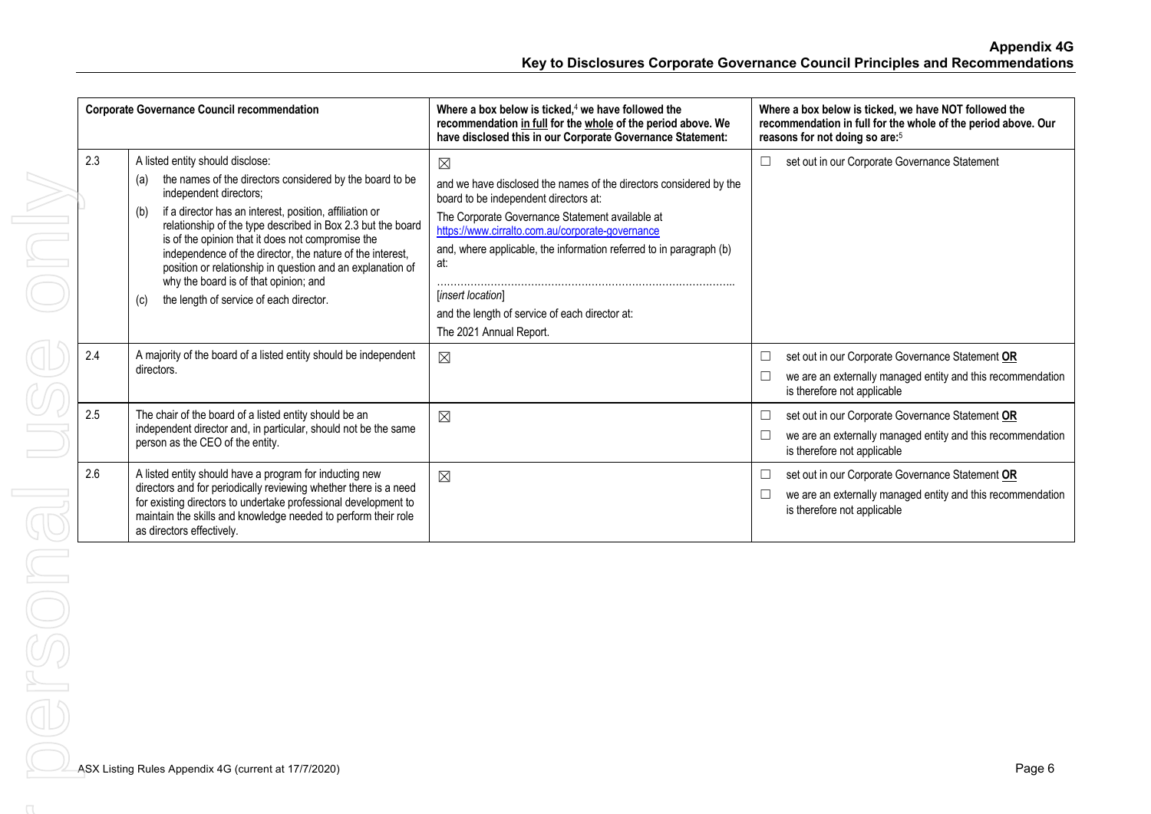| <b>Corporate Governance Council recommendation</b> |                                                                                                                                                                                                                                                                                                                                                                                                                                                                                                                                           | Where a box below is ticked. <sup>4</sup> we have followed the<br>recommendation in full for the whole of the period above. We<br>have disclosed this in our Corporate Governance Statement:                                                                                                                                                                                                                      | Where a box below is ticked, we have NOT followed the<br>recommendation in full for the whole of the period above. Our<br>reasons for not doing so are: <sup>5</sup> |
|----------------------------------------------------|-------------------------------------------------------------------------------------------------------------------------------------------------------------------------------------------------------------------------------------------------------------------------------------------------------------------------------------------------------------------------------------------------------------------------------------------------------------------------------------------------------------------------------------------|-------------------------------------------------------------------------------------------------------------------------------------------------------------------------------------------------------------------------------------------------------------------------------------------------------------------------------------------------------------------------------------------------------------------|----------------------------------------------------------------------------------------------------------------------------------------------------------------------|
| 2.3                                                | A listed entity should disclose:<br>the names of the directors considered by the board to be<br>(a)<br>independent directors;<br>if a director has an interest, position, affiliation or<br>(b)<br>relationship of the type described in Box 2.3 but the board<br>is of the opinion that it does not compromise the<br>independence of the director, the nature of the interest,<br>position or relationship in question and an explanation of<br>why the board is of that opinion; and<br>the length of service of each director.<br>(c) | $\boxtimes$<br>and we have disclosed the names of the directors considered by the<br>board to be independent directors at:<br>The Corporate Governance Statement available at<br>https://www.cirralto.com.au/corporate-governance<br>and, where applicable, the information referred to in paragraph (b)<br>at:<br>[insert location]<br>and the length of service of each director at:<br>The 2021 Annual Report. | set out in our Corporate Governance Statement                                                                                                                        |
| 2.4                                                | A majority of the board of a listed entity should be independent<br>directors.                                                                                                                                                                                                                                                                                                                                                                                                                                                            | $\boxtimes$                                                                                                                                                                                                                                                                                                                                                                                                       | set out in our Corporate Governance Statement OR<br>we are an externally managed entity and this recommendation<br>is therefore not applicable                       |
| 2.5                                                | The chair of the board of a listed entity should be an<br>independent director and, in particular, should not be the same<br>person as the CEO of the entity.                                                                                                                                                                                                                                                                                                                                                                             | $\boxtimes$                                                                                                                                                                                                                                                                                                                                                                                                       | set out in our Corporate Governance Statement OR<br>we are an externally managed entity and this recommendation<br>is therefore not applicable                       |
| 2.6                                                | A listed entity should have a program for inducting new<br>directors and for periodically reviewing whether there is a need<br>for existing directors to undertake professional development to<br>maintain the skills and knowledge needed to perform their role<br>as directors effectively.                                                                                                                                                                                                                                             | $\boxtimes$                                                                                                                                                                                                                                                                                                                                                                                                       | set out in our Corporate Governance Statement OR<br>we are an externally managed entity and this recommendation<br>is therefore not applicable                       |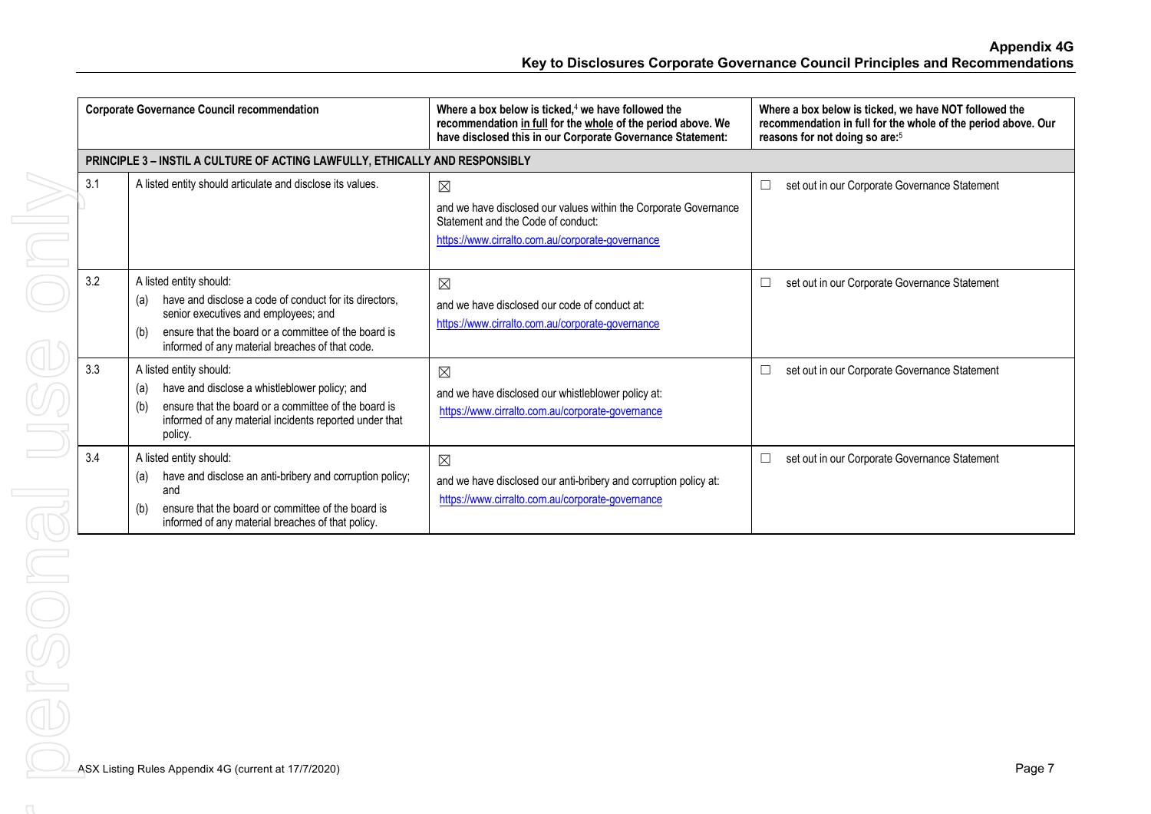**Appendix 4G Key to Disclosures Corporate Governance Council Principles and Recommendations**

| <b>Corporate Governance Council recommendation</b> |                                                                                                                                                                                                                                                    | Where a box below is ticked, $4$ we have followed the<br>recommendation in full for the whole of the period above. We<br>have disclosed this in our Corporate Governance Statement: | Where a box below is ticked, we have NOT followed the<br>recommendation in full for the whole of the period above. Our<br>reasons for not doing so are: <sup>5</sup> |
|----------------------------------------------------|----------------------------------------------------------------------------------------------------------------------------------------------------------------------------------------------------------------------------------------------------|-------------------------------------------------------------------------------------------------------------------------------------------------------------------------------------|----------------------------------------------------------------------------------------------------------------------------------------------------------------------|
|                                                    | PRINCIPLE 3 - INSTIL A CULTURE OF ACTING LAWFULLY, ETHICALLY AND RESPONSIBLY                                                                                                                                                                       |                                                                                                                                                                                     |                                                                                                                                                                      |
| 3.1                                                | A listed entity should articulate and disclose its values.                                                                                                                                                                                         | $\boxtimes$<br>and we have disclosed our values within the Corporate Governance<br>Statement and the Code of conduct:<br>https://www.cirralto.com.au/corporate-governance           | set out in our Corporate Governance Statement<br>$\Box$                                                                                                              |
| 3.2                                                | A listed entity should:<br>have and disclose a code of conduct for its directors.<br>(a)<br>senior executives and employees; and<br>ensure that the board or a committee of the board is<br>(b)<br>informed of any material breaches of that code. | $\boxtimes$<br>and we have disclosed our code of conduct at:<br>https://www.cirralto.com.au/corporate-governance                                                                    | set out in our Corporate Governance Statement<br>$\Box$                                                                                                              |
| 3.3                                                | A listed entity should:<br>have and disclose a whistleblower policy; and<br>(a)<br>ensure that the board or a committee of the board is<br>informed of any material incidents reported under that<br>policy.                                       | $\boxtimes$<br>and we have disclosed our whistleblower policy at:<br>https://www.cirralto.com.au/corporate-governance                                                               | set out in our Corporate Governance Statement<br>⊏                                                                                                                   |
| 3.4                                                | A listed entity should:<br>have and disclose an anti-bribery and corruption policy;<br>(a)<br>and<br>ensure that the board or committee of the board is<br>(b)<br>informed of any material breaches of that policy.                                | $\boxtimes$<br>and we have disclosed our anti-bribery and corruption policy at:<br>https://www.cirralto.com.au/corporate-governance                                                 | set out in our Corporate Governance Statement<br>$\Box$                                                                                                              |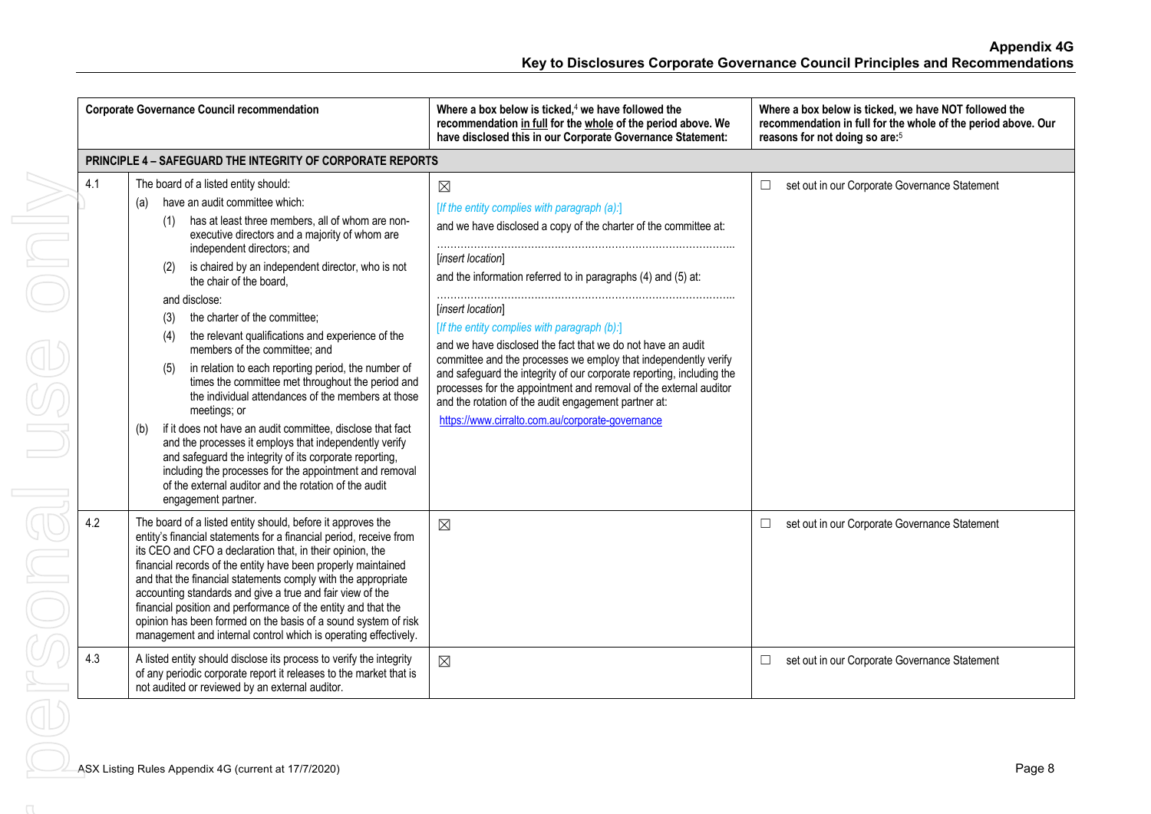|     | <b>Corporate Governance Council recommendation</b>                                                                                                                                                                                                                                                                                                                                                                                                                                                                                                                                                                                                                                                                                                                                                                                                                                                                                                                                           | Where a box below is ticked, <sup>4</sup> we have followed the<br>recommendation in full for the whole of the period above. We<br>have disclosed this in our Corporate Governance Statement:                                                                                                                                                                                                                                                                                                                                                                                                                                                                                           | Where a box below is ticked, we have NOT followed the<br>recommendation in full for the whole of the period above. Our<br>reasons for not doing so are: <sup>5</sup> |
|-----|----------------------------------------------------------------------------------------------------------------------------------------------------------------------------------------------------------------------------------------------------------------------------------------------------------------------------------------------------------------------------------------------------------------------------------------------------------------------------------------------------------------------------------------------------------------------------------------------------------------------------------------------------------------------------------------------------------------------------------------------------------------------------------------------------------------------------------------------------------------------------------------------------------------------------------------------------------------------------------------------|----------------------------------------------------------------------------------------------------------------------------------------------------------------------------------------------------------------------------------------------------------------------------------------------------------------------------------------------------------------------------------------------------------------------------------------------------------------------------------------------------------------------------------------------------------------------------------------------------------------------------------------------------------------------------------------|----------------------------------------------------------------------------------------------------------------------------------------------------------------------|
|     | <b>PRINCIPLE 4 - SAFEGUARD THE INTEGRITY OF CORPORATE REPORTS</b>                                                                                                                                                                                                                                                                                                                                                                                                                                                                                                                                                                                                                                                                                                                                                                                                                                                                                                                            |                                                                                                                                                                                                                                                                                                                                                                                                                                                                                                                                                                                                                                                                                        |                                                                                                                                                                      |
| 4.1 | The board of a listed entity should:<br>have an audit committee which:<br>(a)<br>has at least three members, all of whom are non-<br>executive directors and a majority of whom are<br>independent directors; and<br>is chaired by an independent director, who is not<br>(2)<br>the chair of the board,<br>and disclose:<br>the charter of the committee;<br>(3)<br>the relevant qualifications and experience of the<br>(4)<br>members of the committee; and<br>in relation to each reporting period, the number of<br>(5)<br>times the committee met throughout the period and<br>the individual attendances of the members at those<br>meetings; or<br>if it does not have an audit committee, disclose that fact<br>(b)<br>and the processes it employs that independently verify<br>and safeguard the integrity of its corporate reporting,<br>including the processes for the appointment and removal<br>of the external auditor and the rotation of the audit<br>engagement partner. | $\boxtimes$<br>[If the entity complies with paragraph (a):]<br>and we have disclosed a copy of the charter of the committee at:<br>[insert location]<br>and the information referred to in paragraphs (4) and (5) at:<br>[insert location]<br>[If the entity complies with paragraph (b):]<br>and we have disclosed the fact that we do not have an audit<br>committee and the processes we employ that independently verify<br>and safeguard the integrity of our corporate reporting, including the<br>processes for the appointment and removal of the external auditor<br>and the rotation of the audit engagement partner at:<br>https://www.cirralto.com.au/corporate-governance | set out in our Corporate Governance Statement<br>$\Box$                                                                                                              |
| 4.2 | The board of a listed entity should, before it approves the<br>entity's financial statements for a financial period, receive from<br>its CEO and CFO a declaration that, in their opinion, the<br>financial records of the entity have been properly maintained<br>and that the financial statements comply with the appropriate<br>accounting standards and give a true and fair view of the<br>financial position and performance of the entity and that the<br>opinion has been formed on the basis of a sound system of risk<br>management and internal control which is operating effectively.                                                                                                                                                                                                                                                                                                                                                                                          | $\boxtimes$                                                                                                                                                                                                                                                                                                                                                                                                                                                                                                                                                                                                                                                                            | set out in our Corporate Governance Statement<br>$\Box$                                                                                                              |
| 4.3 | A listed entity should disclose its process to verify the integrity<br>of any periodic corporate report it releases to the market that is<br>not audited or reviewed by an external auditor.                                                                                                                                                                                                                                                                                                                                                                                                                                                                                                                                                                                                                                                                                                                                                                                                 | $\boxtimes$                                                                                                                                                                                                                                                                                                                                                                                                                                                                                                                                                                                                                                                                            | set out in our Corporate Governance Statement<br>$\Box$                                                                                                              |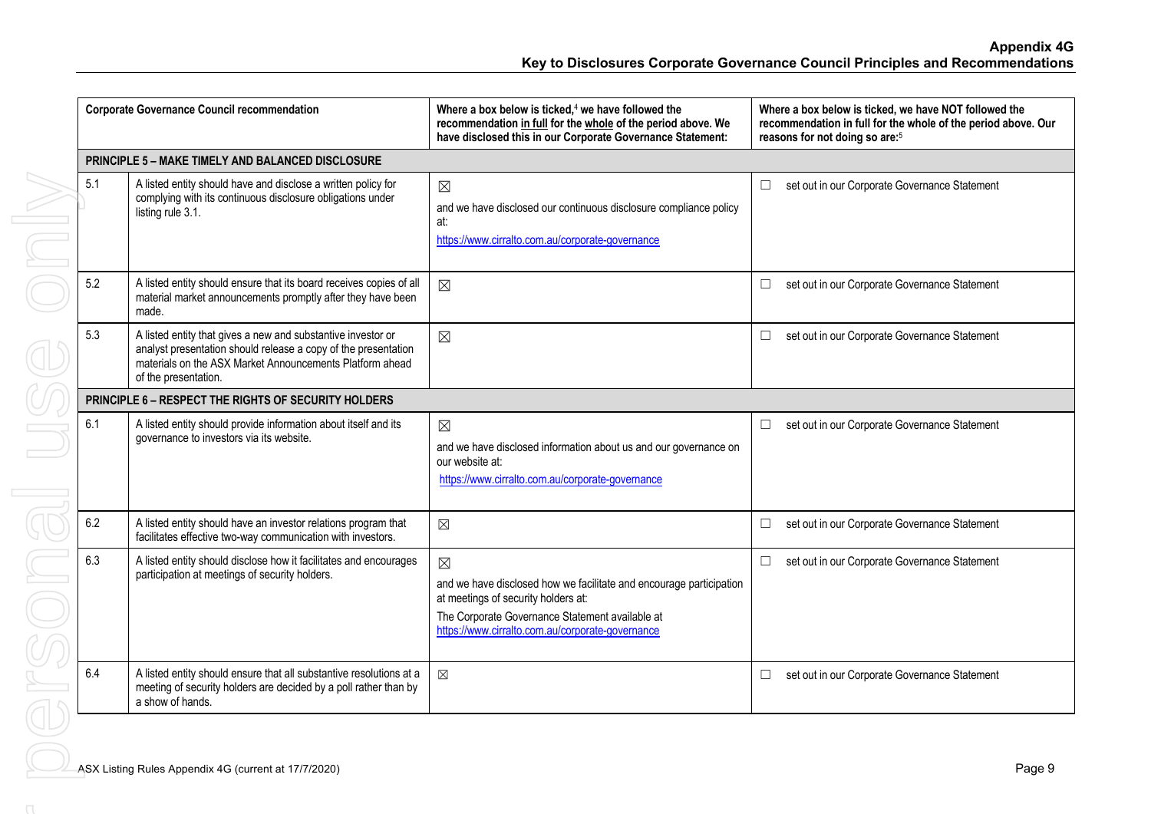|                                                   | <b>Corporate Governance Council recommendation</b>                                                                                                                                                                 | Where a box below is ticked, $4$ we have followed the<br>recommendation in full for the whole of the period above. We<br>have disclosed this in our Corporate Governance Statement:                                              | Where a box below is ticked, we have NOT followed the<br>recommendation in full for the whole of the period above. Our<br>reasons for not doing so are: <sup>5</sup> |        |  |  |
|---------------------------------------------------|--------------------------------------------------------------------------------------------------------------------------------------------------------------------------------------------------------------------|----------------------------------------------------------------------------------------------------------------------------------------------------------------------------------------------------------------------------------|----------------------------------------------------------------------------------------------------------------------------------------------------------------------|--------|--|--|
| PRINCIPLE 5 - MAKE TIMELY AND BALANCED DISCLOSURE |                                                                                                                                                                                                                    |                                                                                                                                                                                                                                  |                                                                                                                                                                      |        |  |  |
| 5.1                                               | A listed entity should have and disclose a written policy for<br>complying with its continuous disclosure obligations under<br>listing rule 3.1.                                                                   | $\boxtimes$<br>and we have disclosed our continuous disclosure compliance policy<br>at:<br>https://www.cirralto.com.au/corporate-governance                                                                                      | $\Box$<br>set out in our Corporate Governance Statement                                                                                                              |        |  |  |
| 5.2                                               | A listed entity should ensure that its board receives copies of all<br>material market announcements promptly after they have been<br>made.                                                                        | $\boxtimes$                                                                                                                                                                                                                      | set out in our Corporate Governance Statement<br>$\Box$                                                                                                              |        |  |  |
| 5.3                                               | A listed entity that gives a new and substantive investor or<br>analyst presentation should release a copy of the presentation<br>materials on the ASX Market Announcements Platform ahead<br>of the presentation. | $\boxtimes$                                                                                                                                                                                                                      | set out in our Corporate Governance Statement<br>$\Box$                                                                                                              |        |  |  |
|                                                   | PRINCIPLE 6 - RESPECT THE RIGHTS OF SECURITY HOLDERS                                                                                                                                                               |                                                                                                                                                                                                                                  |                                                                                                                                                                      |        |  |  |
| 6.1                                               | A listed entity should provide information about itself and its<br>governance to investors via its website.                                                                                                        | $\boxtimes$<br>and we have disclosed information about us and our governance on<br>our website at:<br>https://www.cirralto.com.au/corporate-governance                                                                           | set out in our Corporate Governance Statement<br>$\Box$                                                                                                              |        |  |  |
| 6.2                                               | A listed entity should have an investor relations program that<br>facilitates effective two-way communication with investors.                                                                                      | $\boxtimes$                                                                                                                                                                                                                      | set out in our Corporate Governance Statement<br>$\Box$                                                                                                              |        |  |  |
| 6.3                                               | A listed entity should disclose how it facilitates and encourages<br>participation at meetings of security holders.                                                                                                | $\boxtimes$<br>and we have disclosed how we facilitate and encourage participation<br>at meetings of security holders at:<br>The Corporate Governance Statement available at<br>https://www.cirralto.com.au/corporate-governance | $\Box$<br>set out in our Corporate Governance Statement                                                                                                              |        |  |  |
| 6.4                                               | A listed entity should ensure that all substantive resolutions at a<br>meeting of security holders are decided by a poll rather than by<br>a show of hands.                                                        | $\boxtimes$                                                                                                                                                                                                                      | set out in our Corporate Governance Statement<br>$\Box$                                                                                                              |        |  |  |
|                                                   | ASX Listing Rules Appendix 4G (current at 17/7/2020)                                                                                                                                                               |                                                                                                                                                                                                                                  |                                                                                                                                                                      | Page 9 |  |  |
|                                                   |                                                                                                                                                                                                                    |                                                                                                                                                                                                                                  |                                                                                                                                                                      |        |  |  |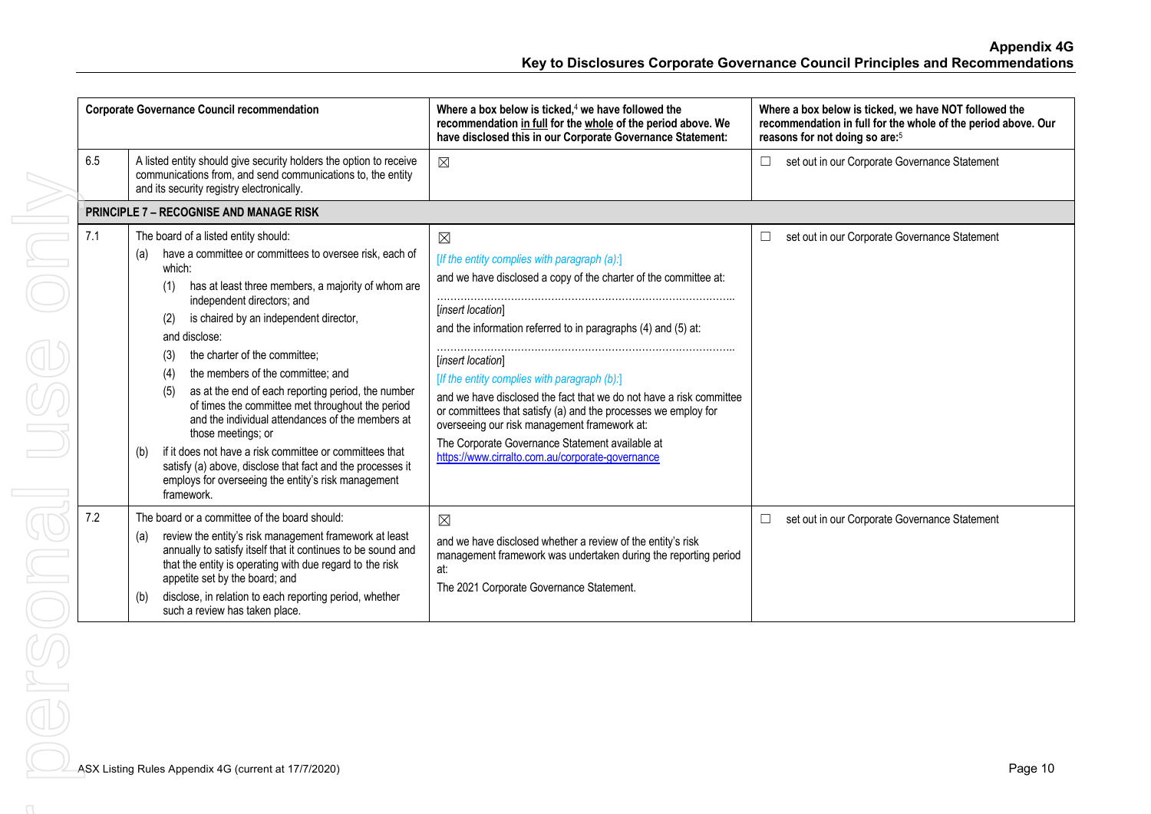| <b>Corporate Governance Council recommendation</b> |                                                                                                                                                                                                                                                                                                                                                                                                                                                                                                                                                                                                                                                                                                                                                                   | Where a box below is ticked, $4$ we have followed the<br>recommendation in full for the whole of the period above. We<br>have disclosed this in our Corporate Governance Statement:                                                                                                                                                                                                                                                                                                                                                                                                        | Where a box below is ticked, we have NOT followed the<br>recommendation in full for the whole of the period above. Our<br>reasons for not doing so are: <sup>5</sup> |
|----------------------------------------------------|-------------------------------------------------------------------------------------------------------------------------------------------------------------------------------------------------------------------------------------------------------------------------------------------------------------------------------------------------------------------------------------------------------------------------------------------------------------------------------------------------------------------------------------------------------------------------------------------------------------------------------------------------------------------------------------------------------------------------------------------------------------------|--------------------------------------------------------------------------------------------------------------------------------------------------------------------------------------------------------------------------------------------------------------------------------------------------------------------------------------------------------------------------------------------------------------------------------------------------------------------------------------------------------------------------------------------------------------------------------------------|----------------------------------------------------------------------------------------------------------------------------------------------------------------------|
| 6.5                                                | A listed entity should give security holders the option to receive<br>communications from, and send communications to, the entity<br>and its security registry electronically.                                                                                                                                                                                                                                                                                                                                                                                                                                                                                                                                                                                    | $\boxtimes$                                                                                                                                                                                                                                                                                                                                                                                                                                                                                                                                                                                | set out in our Corporate Governance Statement                                                                                                                        |
|                                                    | <b>PRINCIPLE 7 - RECOGNISE AND MANAGE RISK</b>                                                                                                                                                                                                                                                                                                                                                                                                                                                                                                                                                                                                                                                                                                                    |                                                                                                                                                                                                                                                                                                                                                                                                                                                                                                                                                                                            |                                                                                                                                                                      |
| 7.1                                                | The board of a listed entity should:<br>have a committee or committees to oversee risk, each of<br>(a)<br>which:<br>has at least three members, a majority of whom are<br>(1)<br>independent directors; and<br>is chaired by an independent director,<br>(2)<br>and disclose:<br>the charter of the committee:<br>(3)<br>the members of the committee: and<br>(4)<br>as at the end of each reporting period, the number<br>(5)<br>of times the committee met throughout the period<br>and the individual attendances of the members at<br>those meetings; or<br>if it does not have a risk committee or committees that<br>(b)<br>satisfy (a) above, disclose that fact and the processes it<br>employs for overseeing the entity's risk management<br>framework. | $\boxtimes$<br>[If the entity complies with paragraph (a):]<br>and we have disclosed a copy of the charter of the committee at:<br>[insert location]<br>and the information referred to in paragraphs (4) and (5) at:<br>[insert location]<br>[If the entity complies with paragraph (b):]<br>and we have disclosed the fact that we do not have a risk committee<br>or committees that satisfy (a) and the processes we employ for<br>overseeing our risk management framework at:<br>The Corporate Governance Statement available at<br>https://www.cirralto.com.au/corporate-governance | set out in our Corporate Governance Statement<br>⊔                                                                                                                   |
| 7.2                                                | The board or a committee of the board should:<br>review the entity's risk management framework at least<br>(a)<br>annually to satisfy itself that it continues to be sound and<br>that the entity is operating with due regard to the risk<br>appetite set by the board; and<br>disclose, in relation to each reporting period, whether<br>(b)<br>such a review has taken place.                                                                                                                                                                                                                                                                                                                                                                                  | $\boxtimes$<br>and we have disclosed whether a review of the entity's risk<br>management framework was undertaken during the reporting period<br>at:<br>The 2021 Corporate Governance Statement.                                                                                                                                                                                                                                                                                                                                                                                           | set out in our Corporate Governance Statement<br>$\Box$                                                                                                              |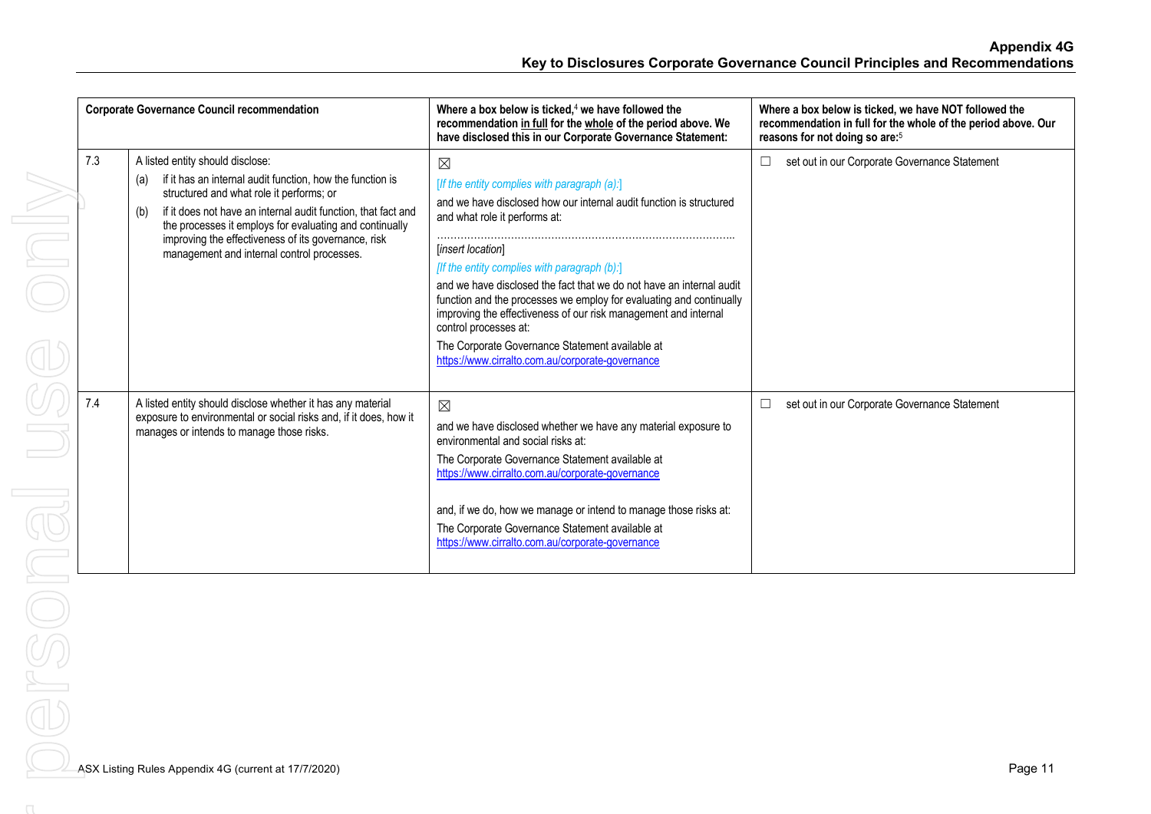| <b>Corporate Governance Council recommendation</b> |                                                                                                                                                                                                                                                                                                                                                                                          | Where a box below is ticked, $4$ we have followed the<br>recommendation in full for the whole of the period above. We<br>have disclosed this in our Corporate Governance Statement:                                                                                                                                                                                                                                                                                                                                                                                                        | Where a box below is ticked, we have NOT followed the<br>recommendation in full for the whole of the period above. Our<br>reasons for not doing so are: <sup>5</sup> |
|----------------------------------------------------|------------------------------------------------------------------------------------------------------------------------------------------------------------------------------------------------------------------------------------------------------------------------------------------------------------------------------------------------------------------------------------------|--------------------------------------------------------------------------------------------------------------------------------------------------------------------------------------------------------------------------------------------------------------------------------------------------------------------------------------------------------------------------------------------------------------------------------------------------------------------------------------------------------------------------------------------------------------------------------------------|----------------------------------------------------------------------------------------------------------------------------------------------------------------------|
| 7.3                                                | A listed entity should disclose:<br>if it has an internal audit function, how the function is<br>(a)<br>structured and what role it performs; or<br>if it does not have an internal audit function, that fact and<br>(b)<br>the processes it employs for evaluating and continually<br>improving the effectiveness of its governance, risk<br>management and internal control processes. | $\boxtimes$<br>[If the entity complies with paragraph (a):]<br>and we have disclosed how our internal audit function is structured<br>and what role it performs at:<br>[insert location]<br>[If the entity complies with paragraph (b):]<br>and we have disclosed the fact that we do not have an internal audit<br>function and the processes we employ for evaluating and continually<br>improving the effectiveness of our risk management and internal<br>control processes at:<br>The Corporate Governance Statement available at<br>https://www.cirralto.com.au/corporate-governance | set out in our Corporate Governance Statement<br>$\Box$                                                                                                              |
| 7.4                                                | A listed entity should disclose whether it has any material<br>exposure to environmental or social risks and, if it does, how it<br>manages or intends to manage those risks.                                                                                                                                                                                                            | $\boxtimes$<br>and we have disclosed whether we have any material exposure to<br>environmental and social risks at:<br>The Corporate Governance Statement available at<br>https://www.cirralto.com.au/corporate-governance<br>and, if we do, how we manage or intend to manage those risks at:<br>The Corporate Governance Statement available at<br>https://www.cirralto.com.au/corporate-governance                                                                                                                                                                                      | set out in our Corporate Governance Statement<br>$\Box$                                                                                                              |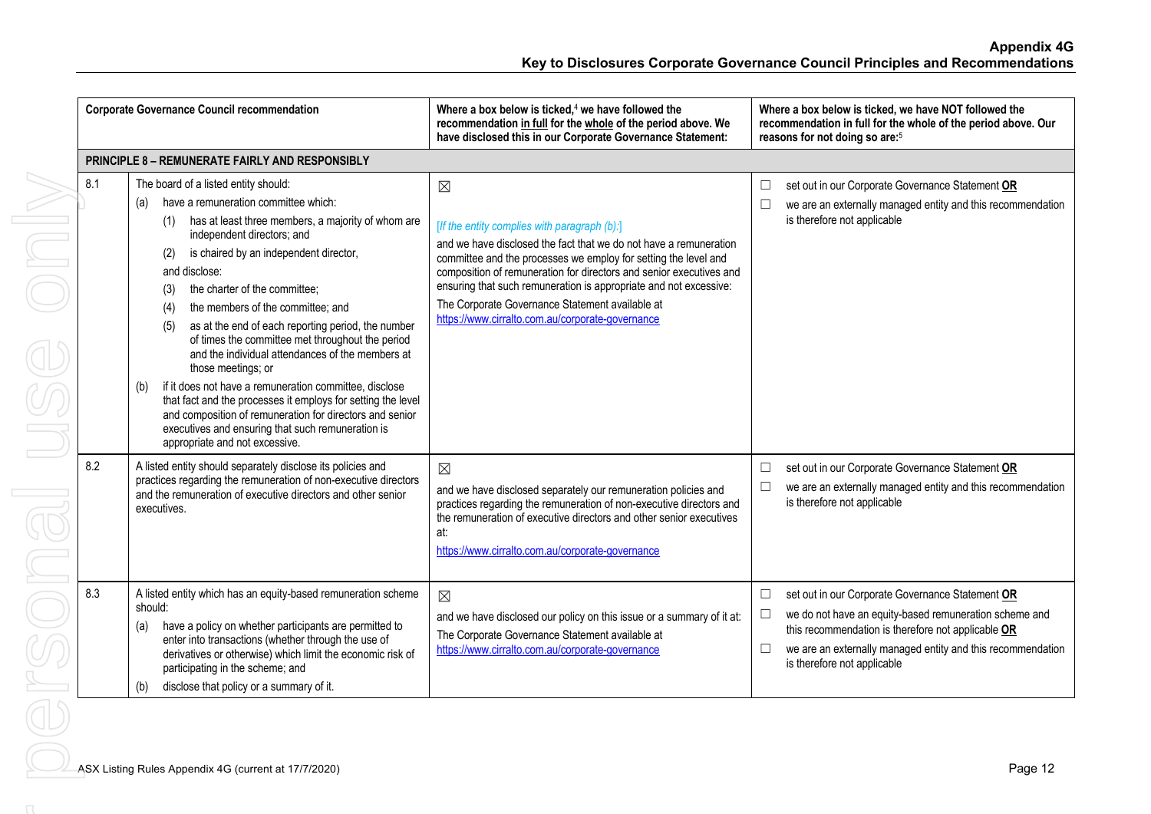| <b>Corporate Governance Council recommendation</b>                                                                                                                                                                                                                                                                                                                                                                                                                                                                                                                                                                                                                                                                                                                                                                  | Where a box below is ticked, <sup>4</sup> we have followed the<br>recommendation in full for the whole of the period above. We<br>have disclosed this in our Corporate Governance Statement:                                                                                                                                                                                                                                                           | Where a box below is ticked, we have NOT followed the<br>recommendation in full for the whole of the period above. Our<br>reasons for not doing so are: <sup>5</sup>                                                                                                               |
|---------------------------------------------------------------------------------------------------------------------------------------------------------------------------------------------------------------------------------------------------------------------------------------------------------------------------------------------------------------------------------------------------------------------------------------------------------------------------------------------------------------------------------------------------------------------------------------------------------------------------------------------------------------------------------------------------------------------------------------------------------------------------------------------------------------------|--------------------------------------------------------------------------------------------------------------------------------------------------------------------------------------------------------------------------------------------------------------------------------------------------------------------------------------------------------------------------------------------------------------------------------------------------------|------------------------------------------------------------------------------------------------------------------------------------------------------------------------------------------------------------------------------------------------------------------------------------|
| <b>PRINCIPLE 8 - REMUNERATE FAIRLY AND RESPONSIBLY</b>                                                                                                                                                                                                                                                                                                                                                                                                                                                                                                                                                                                                                                                                                                                                                              |                                                                                                                                                                                                                                                                                                                                                                                                                                                        |                                                                                                                                                                                                                                                                                    |
| 8.1<br>The board of a listed entity should:<br>have a remuneration committee which:<br>(a)<br>has at least three members, a majority of whom are<br>independent directors; and<br>is chaired by an independent director,<br>(2)<br>and disclose:<br>the charter of the committee:<br>(3)<br>the members of the committee; and<br>(4)<br>as at the end of each reporting period, the number<br>(5)<br>of times the committee met throughout the period<br>and the individual attendances of the members at<br>those meetings; or<br>if it does not have a remuneration committee, disclose<br>(b)<br>that fact and the processes it employs for setting the level<br>and composition of remuneration for directors and senior<br>executives and ensuring that such remuneration is<br>appropriate and not excessive. | $\boxtimes$<br>[If the entity complies with paragraph (b):]<br>and we have disclosed the fact that we do not have a remuneration<br>committee and the processes we employ for setting the level and<br>composition of remuneration for directors and senior executives and<br>ensuring that such remuneration is appropriate and not excessive:<br>The Corporate Governance Statement available at<br>https://www.cirralto.com.au/corporate-governance | set out in our Corporate Governance Statement OR<br>$\Box$<br>we are an externally managed entity and this recommendation<br>is therefore not applicable                                                                                                                           |
| 8.2<br>A listed entity should separately disclose its policies and<br>practices regarding the remuneration of non-executive directors<br>and the remuneration of executive directors and other senior<br>executives.                                                                                                                                                                                                                                                                                                                                                                                                                                                                                                                                                                                                | $\boxtimes$<br>and we have disclosed separately our remuneration policies and<br>practices regarding the remuneration of non-executive directors and<br>the remuneration of executive directors and other senior executives<br>at:<br>https://www.cirralto.com.au/corporate-governance                                                                                                                                                                 | set out in our Corporate Governance Statement OR<br>$\Box$<br>we are an externally managed entity and this recommendation<br>$\Box$<br>is therefore not applicable                                                                                                                 |
| 8.3<br>A listed entity which has an equity-based remuneration scheme<br>should:<br>have a policy on whether participants are permitted to<br>(a)<br>enter into transactions (whether through the use of<br>derivatives or otherwise) which limit the economic risk of<br>participating in the scheme; and<br>disclose that policy or a summary of it.<br>(b)                                                                                                                                                                                                                                                                                                                                                                                                                                                        | $\boxtimes$<br>and we have disclosed our policy on this issue or a summary of it at:<br>The Corporate Governance Statement available at<br>https://www.cirralto.com.au/corporate-governance                                                                                                                                                                                                                                                            | set out in our Corporate Governance Statement OR<br>$\Box$<br>we do not have an equity-based remuneration scheme and<br>$\Box$<br>this recommendation is therefore not applicable OR<br>we are an externally managed entity and this recommendation<br>is therefore not applicable |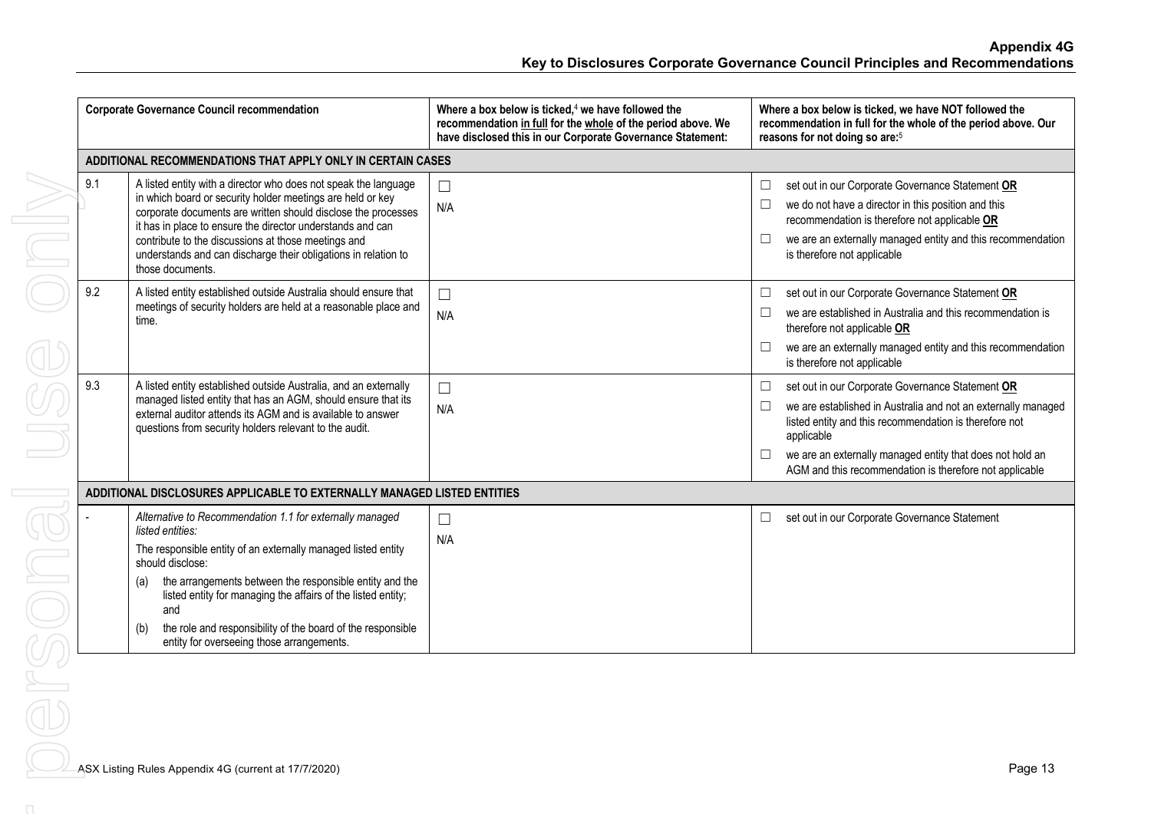| <b>Corporate Governance Council recommendation</b>                      |                                                                                                                                                                                                                                                                                                                                                                                                                               | Where a box below is ticked, $4$ we have followed the<br>recommendation in full for the whole of the period above. We<br>have disclosed this in our Corporate Governance Statement: | Where a box below is ticked, we have NOT followed the<br>recommendation in full for the whole of the period above. Our<br>reasons for not doing so are: <sup>5</sup>                                                                                                                                                                            |  |  |
|-------------------------------------------------------------------------|-------------------------------------------------------------------------------------------------------------------------------------------------------------------------------------------------------------------------------------------------------------------------------------------------------------------------------------------------------------------------------------------------------------------------------|-------------------------------------------------------------------------------------------------------------------------------------------------------------------------------------|-------------------------------------------------------------------------------------------------------------------------------------------------------------------------------------------------------------------------------------------------------------------------------------------------------------------------------------------------|--|--|
| ADDITIONAL RECOMMENDATIONS THAT APPLY ONLY IN CERTAIN CASES             |                                                                                                                                                                                                                                                                                                                                                                                                                               |                                                                                                                                                                                     |                                                                                                                                                                                                                                                                                                                                                 |  |  |
| 9.1                                                                     | A listed entity with a director who does not speak the language<br>in which board or security holder meetings are held or key<br>corporate documents are written should disclose the processes<br>it has in place to ensure the director understands and can<br>contribute to the discussions at those meetings and<br>understands and can discharge their obligations in relation to<br>those documents.                     | $\Box$<br>N/A                                                                                                                                                                       | set out in our Corporate Governance Statement OR<br>$\Box$<br>we do not have a director in this position and this<br>$\Box$<br>recommendation is therefore not applicable OR<br>we are an externally managed entity and this recommendation<br>$\Box$<br>is therefore not applicable                                                            |  |  |
| 9.2                                                                     | A listed entity established outside Australia should ensure that<br>meetings of security holders are held at a reasonable place and<br>time.                                                                                                                                                                                                                                                                                  | $\Box$<br>N/A                                                                                                                                                                       | set out in our Corporate Governance Statement OR<br>$\Box$<br>we are established in Australia and this recommendation is<br>$\Box$<br>therefore not applicable OR<br>we are an externally managed entity and this recommendation<br>$\Box$<br>is therefore not applicable                                                                       |  |  |
| 9.3                                                                     | A listed entity established outside Australia, and an externally<br>managed listed entity that has an AGM, should ensure that its<br>external auditor attends its AGM and is available to answer<br>questions from security holders relevant to the audit.                                                                                                                                                                    | $\Box$<br>N/A                                                                                                                                                                       | set out in our Corporate Governance Statement OR<br>$\Box$<br>we are established in Australia and not an externally managed<br>$\Box$<br>listed entity and this recommendation is therefore not<br>applicable<br>we are an externally managed entity that does not hold an<br>$\Box$<br>AGM and this recommendation is therefore not applicable |  |  |
| ADDITIONAL DISCLOSURES APPLICABLE TO EXTERNALLY MANAGED LISTED ENTITIES |                                                                                                                                                                                                                                                                                                                                                                                                                               |                                                                                                                                                                                     |                                                                                                                                                                                                                                                                                                                                                 |  |  |
|                                                                         | Alternative to Recommendation 1.1 for externally managed<br>listed entities:<br>The responsible entity of an externally managed listed entity<br>should disclose:<br>the arrangements between the responsible entity and the<br>(a)<br>listed entity for managing the affairs of the listed entity;<br>and<br>the role and responsibility of the board of the responsible<br>(b)<br>entity for overseeing those arrangements. | $\Box$<br>N/A                                                                                                                                                                       | set out in our Corporate Governance Statement<br>⊔                                                                                                                                                                                                                                                                                              |  |  |
|                                                                         | ASX Listing Rules Appendix 4G (current at 17/7/2020)                                                                                                                                                                                                                                                                                                                                                                          |                                                                                                                                                                                     | Page 13                                                                                                                                                                                                                                                                                                                                         |  |  |
|                                                                         |                                                                                                                                                                                                                                                                                                                                                                                                                               |                                                                                                                                                                                     |                                                                                                                                                                                                                                                                                                                                                 |  |  |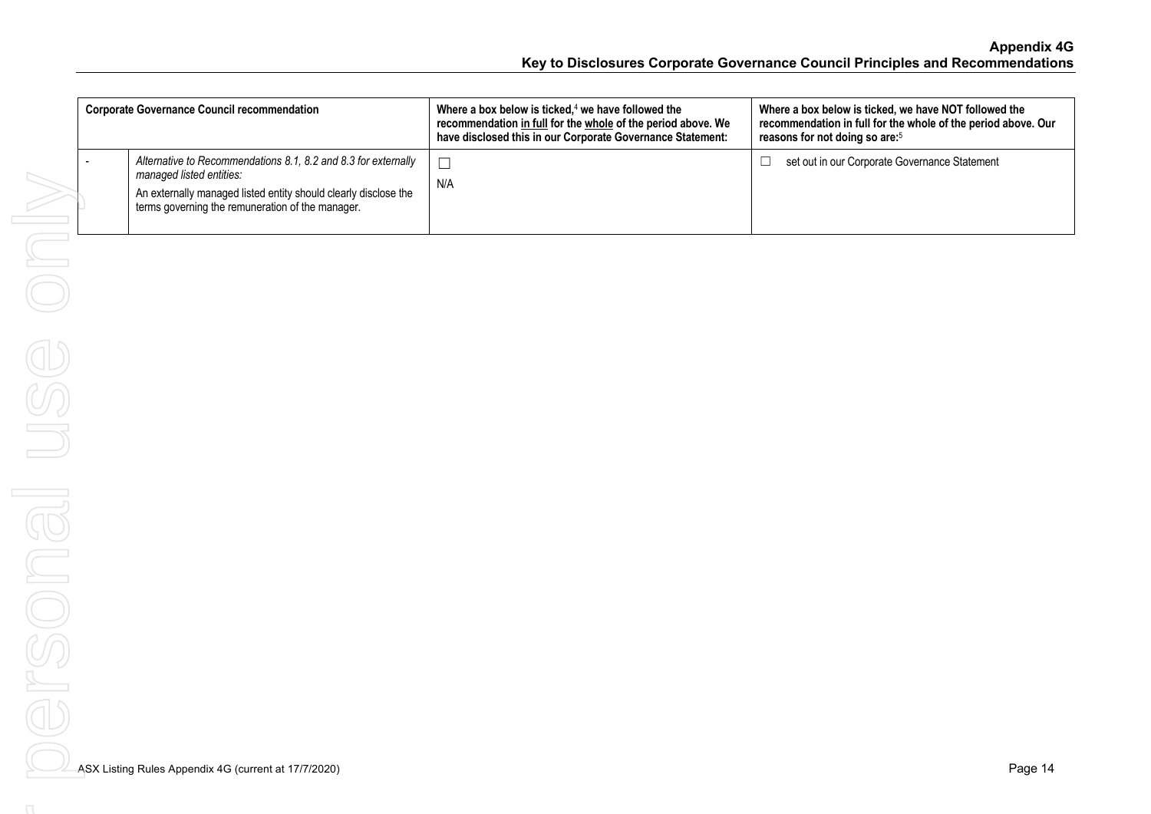| <b>Corporate Governance Council recommendation</b>                                                                                                                                                                | Where a box below is ticked, <sup>4</sup> we have followed the<br>recommendation in full for the whole of the period above. We<br>have disclosed this in our Corporate Governance Statement: | Where a box below is ticked, we have NOT followed the<br>recommendation in full for the whole of the period above. Our<br>reasons for not doing so are: <sup>5</sup> |
|-------------------------------------------------------------------------------------------------------------------------------------------------------------------------------------------------------------------|----------------------------------------------------------------------------------------------------------------------------------------------------------------------------------------------|----------------------------------------------------------------------------------------------------------------------------------------------------------------------|
| Alternative to Recommendations 8.1, 8.2 and 8.3 for externally<br>managed listed entities:<br>An externally managed listed entity should clearly disclose the<br>terms governing the remuneration of the manager. | N/A                                                                                                                                                                                          | set out in our Corporate Governance Statement                                                                                                                        |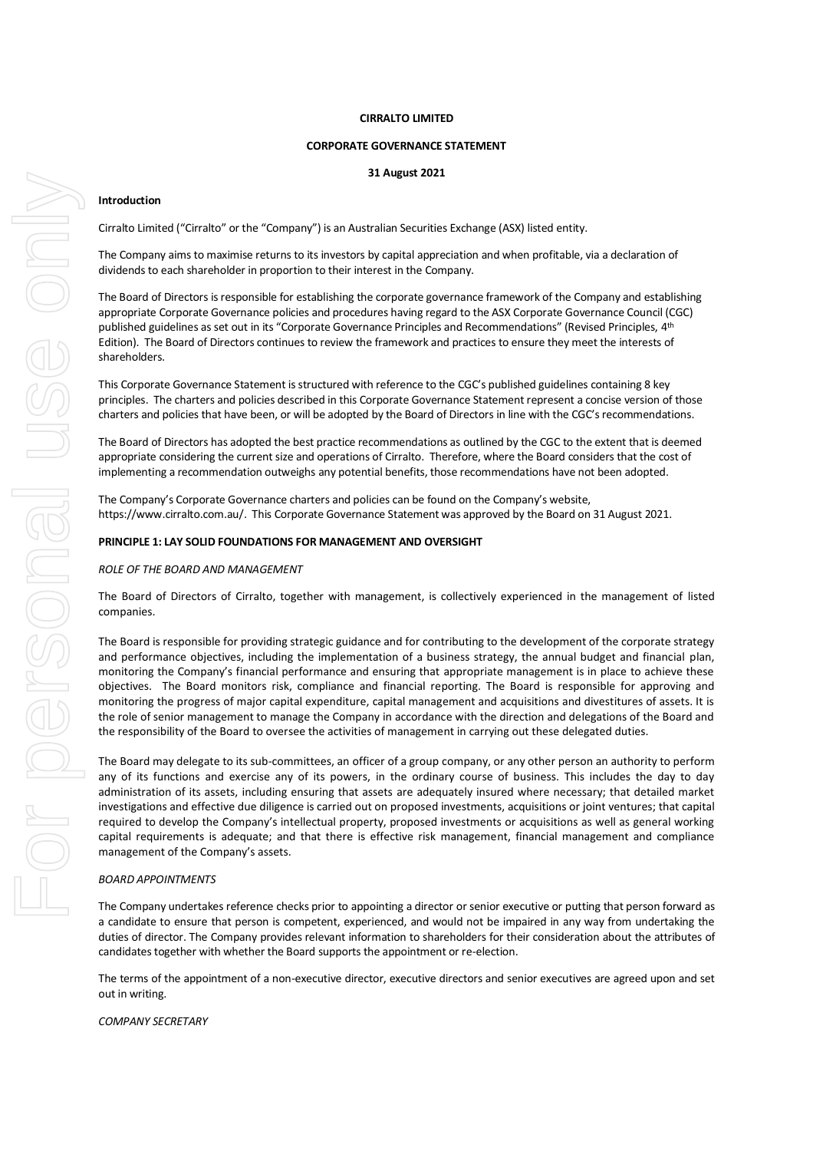#### **CIRRALTO LIMITED**

#### **CORPORATE GOVERNANCE STATEMENT**

### **31 August 2021**

#### **Introduction**

Cirralto Limited ("Cirralto" or the "Company") is an Australian Securities Exchange (ASX) listed entity.

The Company aims to maximise returns to its investors by capital appreciation and when profitable, via a declaration of dividends to each shareholder in proportion to their interest in the Company.

The Board of Directors is responsible for establishing the corporate governance framework of the Company and establishing appropriate Corporate Governance policies and procedures having regard to the ASX Corporate Governance Council (CGC) published guidelines as set out in its "Corporate Governance Principles and Recommendations" (Revised Principles, 4th Edition). The Board of Directors continues to review the framework and practices to ensure they meet the interests of shareholders.

This Corporate Governance Statement is structured with reference to the CGC's published guidelines containing 8 key principles. The charters and policies described in this Corporate Governance Statement represent a concise version of those charters and policies that have been, or will be adopted by the Board of Directors in line with the CGC's recommendations.

The Board of Directors has adopted the best practice recommendations as outlined by the CGC to the extent that is deemed appropriate considering the current size and operations of Cirralto. Therefore, where the Board considers that the cost of implementing a recommendation outweighs any potential benefits, those recommendations have not been adopted.

The Company's Corporate Governance charters and policies can be found on the Company's website, https://www.cirralto.com.au/. This Corporate Governance Statement was approved by the Board on 31 August 2021.

#### **PRINCIPLE 1: LAY SOLID FOUNDATIONS FOR MANAGEMENT AND OVERSIGHT**

#### *ROLE OF THE BOARD AND MANAGEMENT*

The Board of Directors of Cirralto, together with management, is collectively experienced in the management of listed companies.

The Board is responsible for providing strategic guidance and for contributing to the development of the corporate strategy and performance objectives, including the implementation of a business strategy, the annual budget and financial plan, monitoring the Company's financial performance and ensuring that appropriate management is in place to achieve these objectives. The Board monitors risk, compliance and financial reporting. The Board is responsible for approving and monitoring the progress of major capital expenditure, capital management and acquisitions and divestitures of assets. It is the role of senior management to manage the Company in accordance with the direction and delegations of the Board and the responsibility of the Board to oversee the activities of management in carrying out these delegated duties.

The Board may delegate to its sub-committees, an officer of a group company, or any other person an authority to perform any of its functions and exercise any of its powers, in the ordinary course of business. This includes the day to day administration of its assets, including ensuring that assets are adequately insured where necessary; that detailed market investigations and effective due diligence is carried out on proposed investments, acquisitions or joint ventures; that capital required to develop the Company's intellectual property, proposed investments or acquisitions as well as general working capital requirements is adequate; and that there is effective risk management, financial management and compliance management of the Company's assets.

#### *BOARD APPOINTMENTS*

The Company undertakes reference checks prior to appointing a director or senior executive or putting that person forward as a candidate to ensure that person is competent, experienced, and would not be impaired in any way from undertaking the duties of director. The Company provides relevant information to shareholders for their consideration about the attributes of candidates together with whether the Board supports the appointment or re-election.

The terms of the appointment of a non-executive director, executive directors and senior executives are agreed upon and set out in writing.

*COMPANY SECRETARY*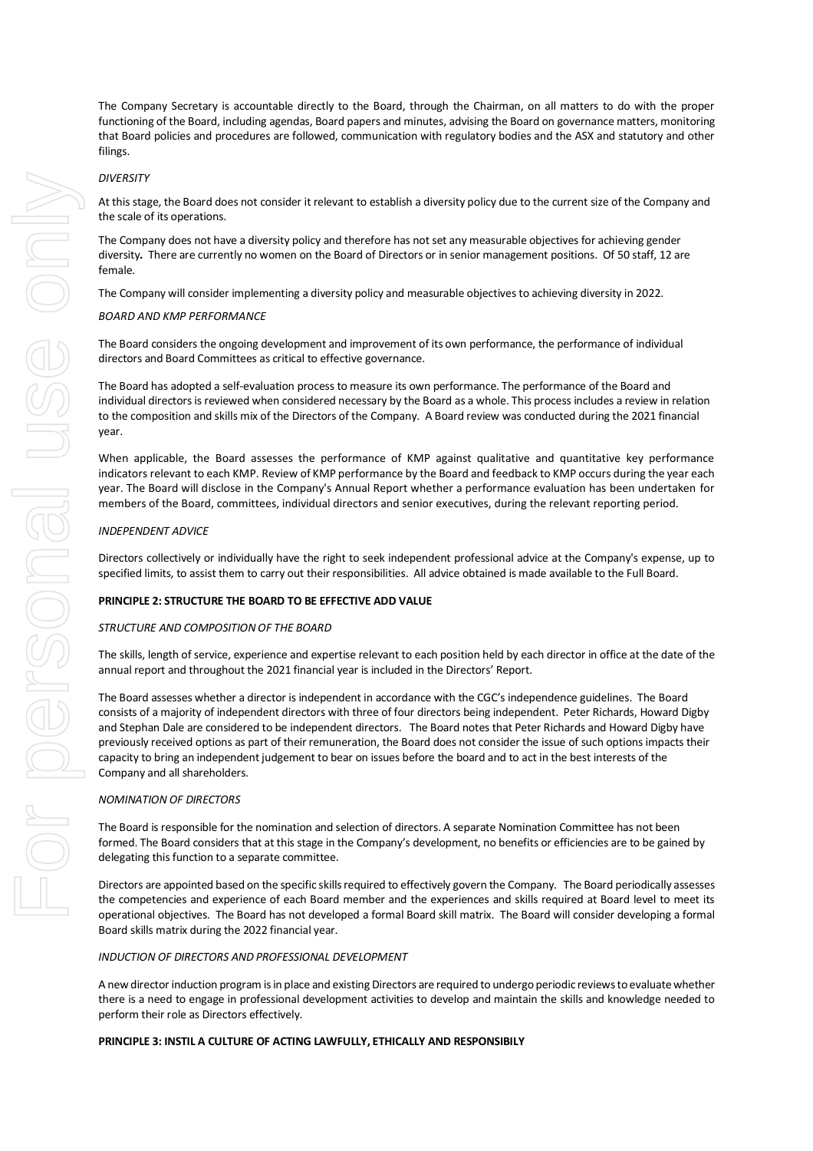#### *DIVERSITY*

At this stage, the Board does not consider it relevant to establish a diversity policy due to the current size of the Company and the scale of its operations.

The Company does not have a diversity policy and therefore has not set any measurable objectives for achieving gender diversity**.** There are currently no women on the Board of Directors or in senior management positions. Of 50 staff, 12 are female.

The Company will consider implementing a diversity policy and measurable objectives to achieving diversity in 2022.

#### *BOARD AND KMP PERFORMANCE*

The Board considers the ongoing development and improvement of its own performance, the performance of individual directors and Board Committees as critical to effective governance.

The Board has adopted a self-evaluation process to measure its own performance. The performance of the Board and individual directors is reviewed when considered necessary by the Board as a whole. This process includes a review in relation to the composition and skills mix of the Directors of the Company. A Board review was conducted during the 2021 financial year.

When applicable, the Board assesses the performance of KMP against qualitative and quantitative key performance indicators relevant to each KMP. Review of KMP performance by the Board and feedback to KMP occurs during the year each year. The Board will disclose in the Company's Annual Report whether a performance evaluation has been undertaken for members of the Board, committees, individual directors and senior executives, during the relevant reporting period.

## *INDEPENDENT ADVICE*

Directors collectively or individually have the right to seek independent professional advice at the Company's expense, up to specified limits, to assist them to carry out their responsibilities. All advice obtained is made available to the Full Board.

#### **PRINCIPLE 2: STRUCTURE THE BOARD TO BE EFFECTIVE ADD VALUE**

#### *STRUCTURE AND COMPOSITION OF THE BOARD*

The skills, length of service, experience and expertise relevant to each position held by each director in office at the date of the annual report and throughout the 2021 financial year is included in the Directors' Report.

The Board assesses whether a director is independent in accordance with the CGC's independence guidelines. The Board consists of a majority of independent directors with three of four directors being independent. Peter Richards, Howard Digby and Stephan Dale are considered to be independent directors. The Board notes that Peter Richards and Howard Digby have previously received options as part of their remuneration, the Board does not consider the issue of such options impacts their capacity to bring an independent judgement to bear on issues before the board and to act in the best interests of the Company and all shareholders.

#### *NOMINATION OF DIRECTORS*

The Board is responsible for the nomination and selection of directors. A separate Nomination Committee has not been formed. The Board considers that at this stage in the Company's development, no benefits or efficiencies are to be gained by delegating this function to a separate committee.

Directors are appointed based on the specific skills required to effectively govern the Company. The Board periodically assesses the competencies and experience of each Board member and the experiences and skills required at Board level to meet its operational objectives. The Board has not developed a formal Board skill matrix. The Board will consider developing a formal Board skills matrix during the 2022 financial year.

#### *INDUCTION OF DIRECTORS AND PROFESSIONAL DEVELOPMENT*

A new director induction program is in place and existing Directors are required to undergo periodic reviews to evaluate whether there is a need to engage in professional development activities to develop and maintain the skills and knowledge needed to perform their role as Directors effectively.

### **PRINCIPLE 3: INSTIL A CULTURE OF ACTING LAWFULLY, ETHICALLY AND RESPONSIBILY**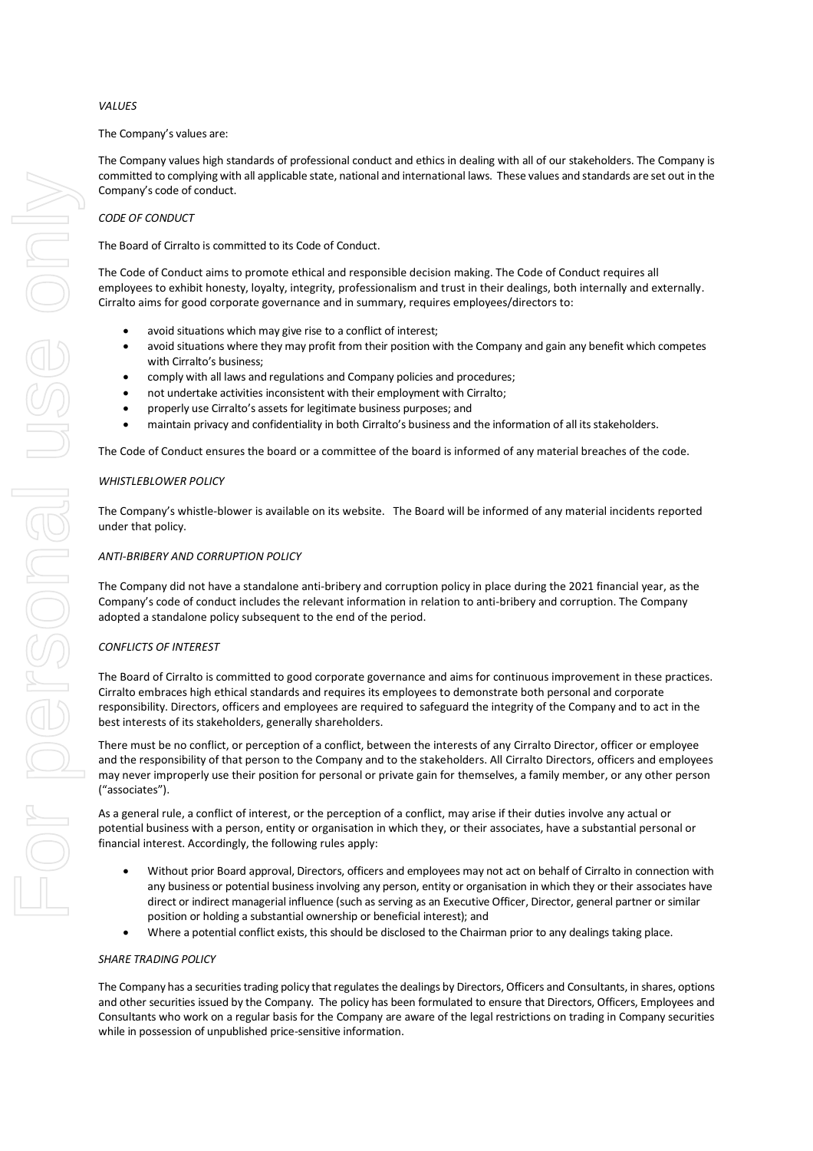# *VALUES*

#### The Company's values are:

The Company values high standards of professional conduct and ethics in dealing with all of our stakeholders. The Company is committed to complying with all applicable state, national and international laws. These values and standards are set out in the Company's code of conduct.

# *CODE OF CONDUCT*

The Board of Cirralto is committed to its Code of Conduct.

The Code of Conduct aims to promote ethical and responsible decision making. The Code of Conduct requires all employees to exhibit honesty, loyalty, integrity, professionalism and trust in their dealings, both internally and externally. Cirralto aims for good corporate governance and in summary, requires employees/directors to:

- avoid situations which may give rise to a conflict of interest;
- avoid situations where they may profit from their position with the Company and gain any benefit which competes with Cirralto's business;
- comply with all laws and regulations and Company policies and procedures;
- not undertake activities inconsistent with their employment with Cirralto;
- properly use Cirralto's assets for legitimate business purposes; and
- maintain privacy and confidentiality in both Cirralto's business and the information of all its stakeholders.

The Code of Conduct ensures the board or a committee of the board is informed of any material breaches of the code.

### *WHISTLEBLOWER POLICY*

The Company's whistle-blower is available on its website. The Board will be informed of any material incidents reported under that policy.

### *ANTI-BRIBERY AND CORRUPTION POLICY*

The Company did not have a standalone anti-bribery and corruption policy in place during the 2021 financial year, as the Company's code of conduct includes the relevant information in relation to anti-bribery and corruption. The Company adopted a standalone policy subsequent to the end of the period.

# *CONFLICTS OF INTEREST*

The Board of Cirralto is committed to good corporate governance and aims for continuous improvement in these practices. Cirralto embraces high ethical standards and requires its employees to demonstrate both personal and corporate responsibility. Directors, officers and employees are required to safeguard the integrity of the Company and to act in the best interests of its stakeholders, generally shareholders.

There must be no conflict, or perception of a conflict, between the interests of any Cirralto Director, officer or employee and the responsibility of that person to the Company and to the stakeholders. All Cirralto Directors, officers and employees may never improperly use their position for personal or private gain for themselves, a family member, or any other person ("associates").

As a general rule, a conflict of interest, or the perception of a conflict, may arise if their duties involve any actual or potential business with a person, entity or organisation in which they, or their associates, have a substantial personal or financial interest. Accordingly, the following rules apply:

- Without prior Board approval, Directors, officers and employees may not act on behalf of Cirralto in connection with any business or potential business involving any person, entity or organisation in which they or their associates have direct or indirect managerial influence (such as serving as an Executive Officer, Director, general partner or similar position or holding a substantial ownership or beneficial interest); and
- Where a potential conflict exists, this should be disclosed to the Chairman prior to any dealings taking place.

#### *SHARE TRADING POLICY*

The Company has a securities trading policy that regulates the dealings by Directors, Officers and Consultants, in shares, options and other securities issued by the Company. The policy has been formulated to ensure that Directors, Officers, Employees and Consultants who work on a regular basis for the Company are aware of the legal restrictions on trading in Company securities while in possession of unpublished price-sensitive information.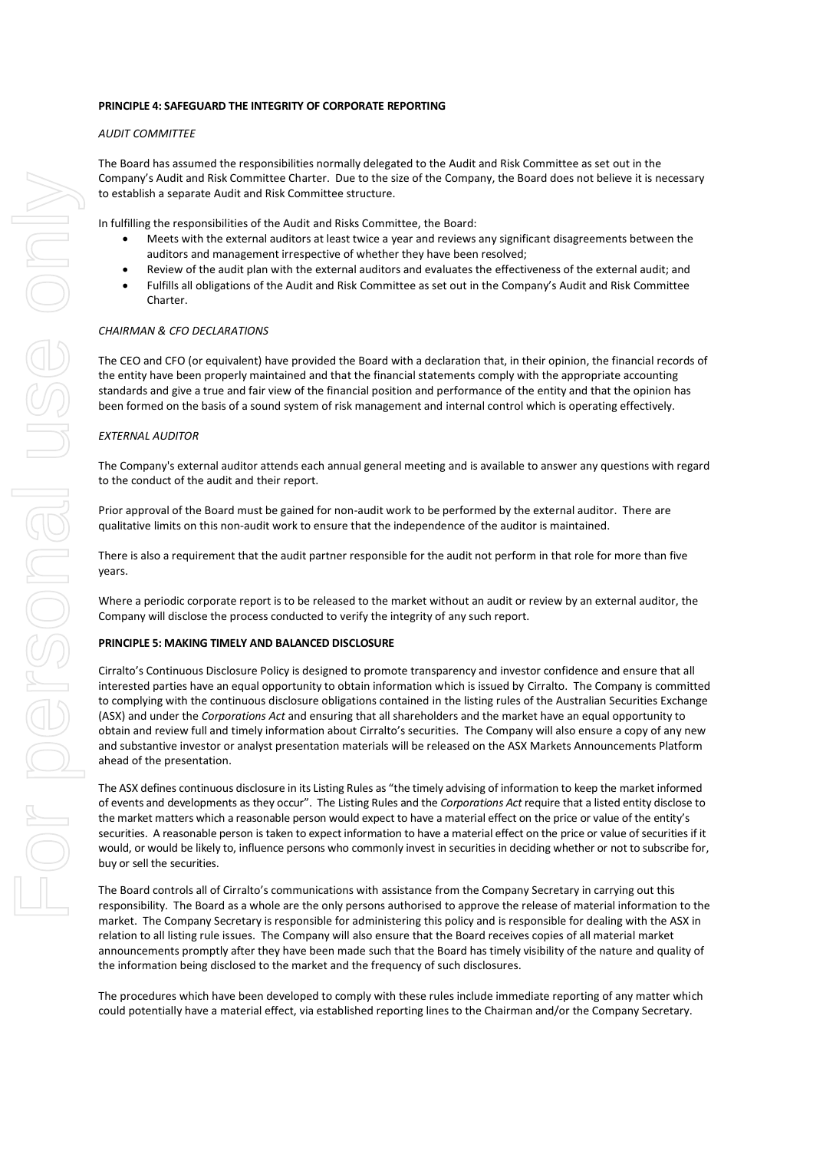#### **PRINCIPLE 4: SAFEGUARD THE INTEGRITY OF CORPORATE REPORTING**

# *AUDIT COMMITTEE*

The Board has assumed the responsibilities normally delegated to the Audit and Risk Committee as set out in the Company's Audit and Risk Committee Charter. Due to the size of the Company, the Board does not believe it is necessary to establish a separate Audit and Risk Committee structure.

In fulfilling the responsibilities of the Audit and Risks Committee, the Board:

- Meets with the external auditors at least twice a year and reviews any significant disagreements between the auditors and management irrespective of whether they have been resolved;
- Review of the audit plan with the external auditors and evaluates the effectiveness of the external audit; and
- Fulfills all obligations of the Audit and Risk Committee as set out in the Company's Audit and Risk Committee Charter.

## *CHAIRMAN & CFO DECLARATIONS*

The CEO and CFO (or equivalent) have provided the Board with a declaration that, in their opinion, the financial records of the entity have been properly maintained and that the financial statements comply with the appropriate accounting standards and give a true and fair view of the financial position and performance of the entity and that the opinion has been formed on the basis of a sound system of risk management and internal control which is operating effectively.

#### *EXTERNAL AUDITOR*

The Company's external auditor attends each annual general meeting and is available to answer any questions with regard to the conduct of the audit and their report.

Prior approval of the Board must be gained for non-audit work to be performed by the external auditor. There are qualitative limits on this non-audit work to ensure that the independence of the auditor is maintained.

There is also a requirement that the audit partner responsible for the audit not perform in that role for more than five years.

Where a periodic corporate report is to be released to the market without an audit or review by an external auditor, the Company will disclose the process conducted to verify the integrity of any such report.

#### **PRINCIPLE 5: MAKING TIMELY AND BALANCED DISCLOSURE**

Cirralto's Continuous Disclosure Policy is designed to promote transparency and investor confidence and ensure that all interested parties have an equal opportunity to obtain information which is issued by Cirralto. The Company is committed to complying with the continuous disclosure obligations contained in the listing rules of the Australian Securities Exchange (ASX) and under the *Corporations Act* and ensuring that all shareholders and the market have an equal opportunity to obtain and review full and timely information about Cirralto's securities. The Company will also ensure a copy of any new and substantive investor or analyst presentation materials will be released on the ASX Markets Announcements Platform ahead of the presentation.

The ASX defines continuous disclosure in its Listing Rules as "the timely advising of information to keep the market informed of events and developments as they occur". The Listing Rules and the *Corporations Act* require that a listed entity disclose to the market matters which a reasonable person would expect to have a material effect on the price or value of the entity's securities. A reasonable person is taken to expect information to have a material effect on the price or value of securities if it would, or would be likely to, influence persons who commonly invest in securities in deciding whether or not to subscribe for, buy or sell the securities.

The Board controls all of Cirralto's communications with assistance from the Company Secretary in carrying out this responsibility. The Board as a whole are the only persons authorised to approve the release of material information to the market. The Company Secretary is responsible for administering this policy and is responsible for dealing with the ASX in relation to all listing rule issues. The Company will also ensure that the Board receives copies of all material market announcements promptly after they have been made such that the Board has timely visibility of the nature and quality of the information being disclosed to the market and the frequency of such disclosures.

The procedures which have been developed to comply with these rules include immediate reporting of any matter which could potentially have a material effect, via established reporting lines to the Chairman and/or the Company Secretary.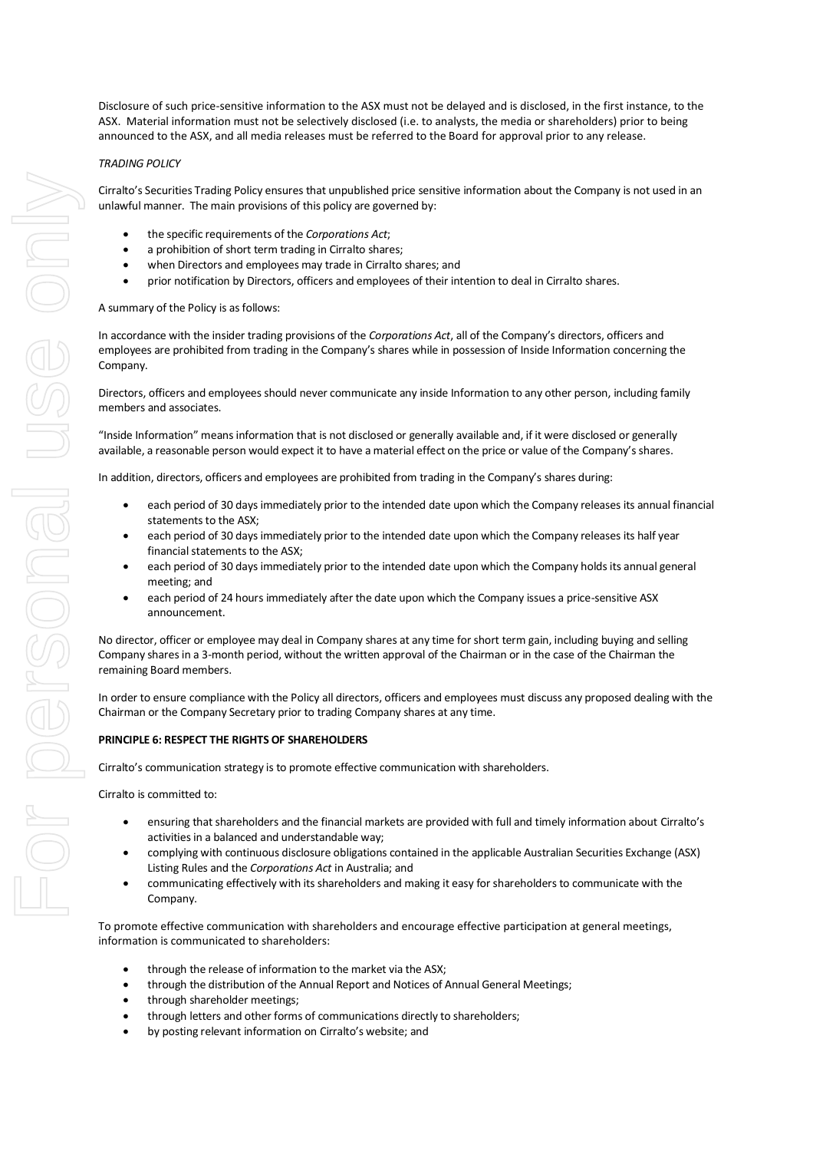Disclosure of such price-sensitive information to the ASX must not be delayed and is disclosed, in the first instance, to the ASX. Material information must not be selectively disclosed (i.e. to analysts, the media or shareholders) prior to being announced to the ASX, and all media releases must be referred to the Board for approval prior to any release.

# *TRADING POLICY*

Cirralto's Securities Trading Policy ensures that unpublished price sensitive information about the Company is not used in an unlawful manner. The main provisions of this policy are governed by:

- the specific requirements of the *Corporations Act*;
- a prohibition of short term trading in Cirralto shares;
- when Directors and employees may trade in Cirralto shares; and
- prior notification by Directors, officers and employees of their intention to deal in Cirralto shares.

#### A summary of the Policy is as follows:

In accordance with the insider trading provisions of the *Corporations Act*, all of the Company's directors, officers and employees are prohibited from trading in the Company's shares while in possession of Inside Information concerning the Company.

Directors, officers and employees should never communicate any inside Information to any other person, including family members and associates.

"Inside Information" means information that is not disclosed or generally available and, if it were disclosed or generally available, a reasonable person would expect it to have a material effect on the price or value of the Company's shares.

In addition, directors, officers and employees are prohibited from trading in the Company's shares during:

- each period of 30 days immediately prior to the intended date upon which the Company releases its annual financial statements to the ASX;
- each period of 30 days immediately prior to the intended date upon which the Company releases its half year financial statements to the ASX;
- each period of 30 days immediately prior to the intended date upon which the Company holds its annual general meeting; and
- each period of 24 hours immediately after the date upon which the Company issues a price-sensitive ASX announcement.

No director, officer or employee may deal in Company shares at any time for short term gain, including buying and selling Company shares in a 3-month period, without the written approval of the Chairman or in the case of the Chairman the remaining Board members.

In order to ensure compliance with the Policy all directors, officers and employees must discuss any proposed dealing with the Chairman or the Company Secretary prior to trading Company shares at any time.

#### **PRINCIPLE 6: RESPECT THE RIGHTS OF SHAREHOLDERS**

Cirralto's communication strategy is to promote effective communication with shareholders.

Cirralto is committed to:

- ensuring that shareholders and the financial markets are provided with full and timely information about Cirralto's activities in a balanced and understandable way;
- complying with continuous disclosure obligations contained in the applicable Australian Securities Exchange (ASX) Listing Rules and the *Corporations Act* in Australia; and
- communicating effectively with its shareholders and making it easy for shareholders to communicate with the Company.

To promote effective communication with shareholders and encourage effective participation at general meetings, information is communicated to shareholders:

- through the release of information to the market via the ASX;
- through the distribution of the Annual Report and Notices of Annual General Meetings;
- through shareholder meetings;
- through letters and other forms of communications directly to shareholders;
- by posting relevant information on Cirralto's website; and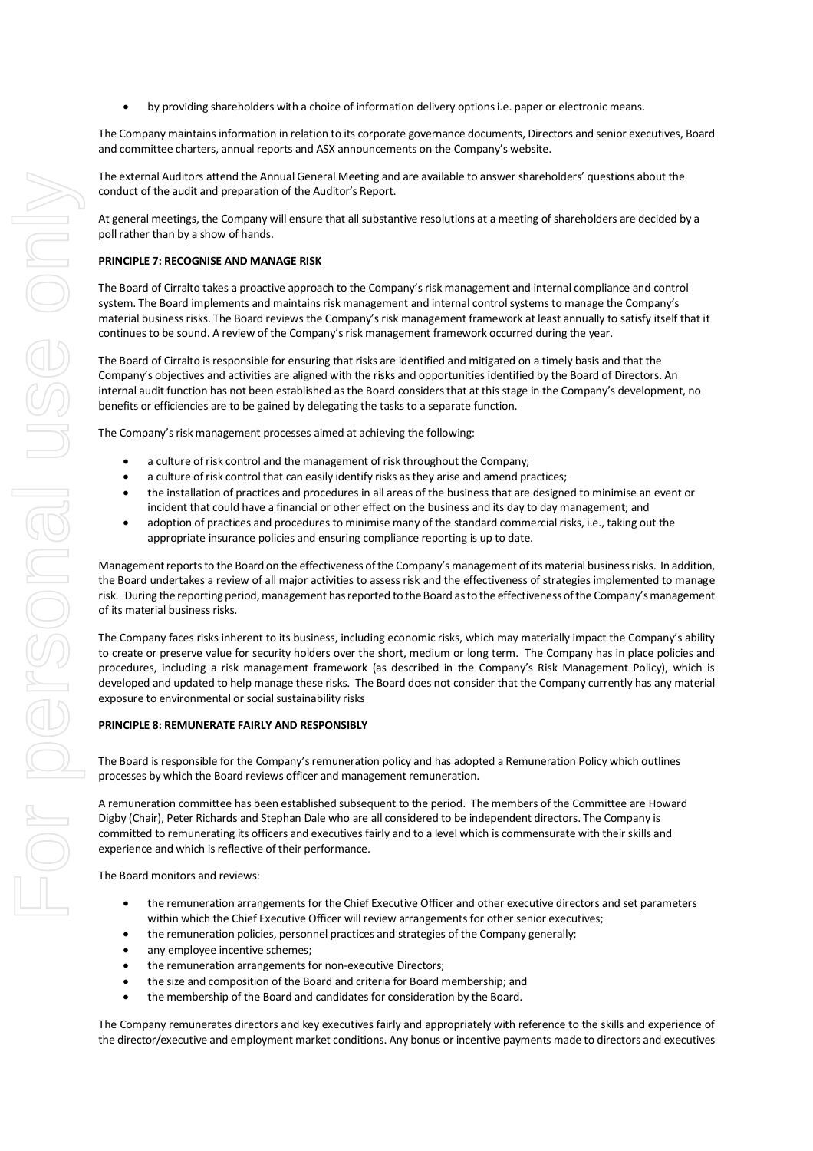• by providing shareholders with a choice of information delivery options i.e. paper or electronic means.

The Company maintains information in relation to its corporate governance documents, Directors and senior executives, Board and committee charters, annual reports and ASX announcements on the Company's website.

The external Auditors attend the Annual General Meeting and are available to answer shareholders' questions about the conduct of the audit and preparation of the Auditor's Report.

At general meetings, the Company will ensure that all substantive resolutions at a meeting of shareholders are decided by a poll rather than by a show of hands.

#### **PRINCIPLE 7: RECOGNISE AND MANAGE RISK**

The Board of Cirralto takes a proactive approach to the Company's risk management and internal compliance and control system. The Board implements and maintains risk management and internal control systems to manage the Company's material business risks. The Board reviews the Company's risk management framework at least annually to satisfy itself that it continues to be sound. A review of the Company's risk management framework occurred during the year.

The Board of Cirralto is responsible for ensuring that risks are identified and mitigated on a timely basis and that the Company's objectives and activities are aligned with the risks and opportunities identified by the Board of Directors. An internal audit function has not been established as the Board considers that at this stage in the Company's development, no benefits or efficiencies are to be gained by delegating the tasks to a separate function.

The Company's risk management processes aimed at achieving the following:

- a culture of risk control and the management of risk throughout the Company;
- a culture of risk control that can easily identify risks as they arise and amend practices;
- the installation of practices and procedures in all areas of the business that are designed to minimise an event or incident that could have a financial or other effect on the business and its day to day management; and
- adoption of practices and procedures to minimise many of the standard commercial risks, i.e., taking out the appropriate insurance policies and ensuring compliance reporting is up to date.

Management reports to the Board on the effectiveness of the Company's management of its material business risks. In addition, the Board undertakes a review of all major activities to assess risk and the effectiveness of strategies implemented to manage risk. During the reporting period, management has reported to the Board as to the effectiveness of the Company's management of its material business risks.

The Company faces risks inherent to its business, including economic risks, which may materially impact the Company's ability to create or preserve value for security holders over the short, medium or long term. The Company has in place policies and procedures, including a risk management framework (as described in the Company's Risk Management Policy), which is developed and updated to help manage these risks.The Board does not consider that the Company currently has any material exposure to environmental or social sustainability risks

#### **PRINCIPLE 8: REMUNERATE FAIRLY AND RESPONSIBLY**

The Board is responsible for the Company's remuneration policy and has adopted a Remuneration Policy which outlines processes by which the Board reviews officer and management remuneration.

A remuneration committee has been established subsequent to the period. The members of the Committee are Howard Digby (Chair), Peter Richards and Stephan Dale who are all considered to be independent directors. The Company is committed to remunerating its officers and executives fairly and to a level which is commensurate with their skills and experience and which is reflective of their performance.

The Board monitors and reviews:

- the remuneration arrangements for the Chief Executive Officer and other executive directors and set parameters within which the Chief Executive Officer will review arrangements for other senior executives;
- the remuneration policies, personnel practices and strategies of the Company generally;
- any employee incentive schemes;
- the remuneration arrangements for non-executive Directors;
- the size and composition of the Board and criteria for Board membership; and
- the membership of the Board and candidates for consideration by the Board.

The Company remunerates directors and key executives fairly and appropriately with reference to the skills and experience of the director/executive and employment market conditions. Any bonus or incentive payments made to directors and executives